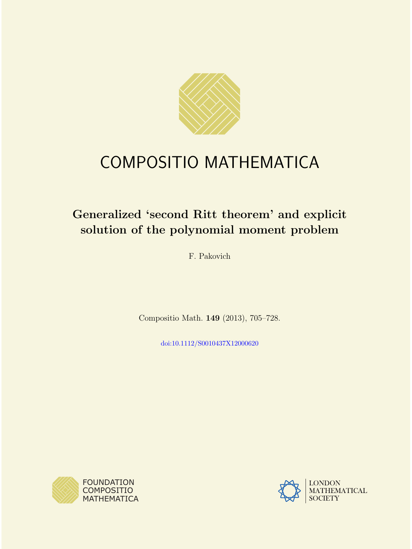

# COMPOSITIO MATHEMATICA

# Generalized 'second Ritt theorem' and explicit solution of the polynomial moment problem

F. Pakovich

Compositio Math. 149 (2013), 705–728.

[doi:10.1112/S0010437X12000620](http://dx.doi.org/10.1112/S0010437X12000620)



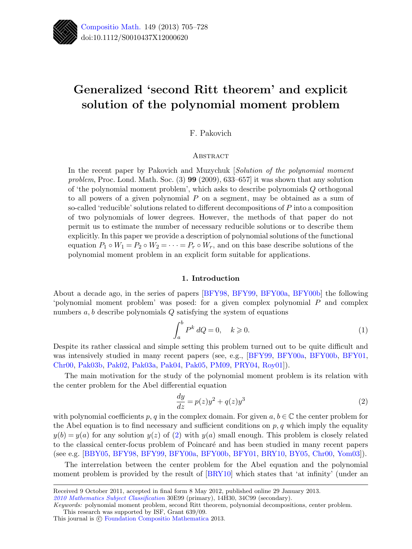

# Generalized 'second Ritt theorem' and explicit solution of the polynomial moment problem

F. Pakovich

# **ABSTRACT**

In the recent paper by Pakovich and Muzychuk [Solution of the polynomial moment problem, Proc. Lond. Math. Soc. (3) 99 (2009), 633–657] it was shown that any solution of 'the polynomial moment problem', which asks to describe polynomials Q orthogonal to all powers of a given polynomial P on a segment, may be obtained as a sum of so-called 'reducible' solutions related to different decompositions of P into a composition of two polynomials of lower degrees. However, the methods of that paper do not permit us to estimate the number of necessary reducible solutions or to describe them explicitly. In this paper we provide a description of polynomial solutions of the functional equation  $P_1 \circ W_1 = P_2 \circ W_2 = \cdots = P_r \circ W_r$ , and on this base describe solutions of the polynomial moment problem in an explicit form suitable for applications.

### 1. Introduction

About a decade ago, in the series of papers [\[BFY98,](#page-23-0) [BFY99,](#page-23-1) [BFY00a,](#page-23-2) [BFY00b\]](#page-23-3) the following 'polynomial moment problem' was posed: for a given complex polynomial P and complex numbers  $a, b$  describe polynomials  $Q$  satisfying the system of equations

<span id="page-1-1"></span>
$$
\int_{a}^{b} P^{k} dQ = 0, \quad k \geqslant 0. \tag{1}
$$

Despite its rather classical and simple setting this problem turned out to be quite difficult and was intensively studied in many recent papers (see, e.g., [\[BFY99,](#page-23-1) [BFY00a,](#page-23-2) [BFY00b,](#page-23-3) [BFY01,](#page-23-4) [Chr00,](#page-23-5) [Pak03b,](#page-23-6) [Pak02,](#page-23-7) [Pak03a,](#page-23-8) [Pak04,](#page-23-9) [Pak05,](#page-23-10) [PM09,](#page-23-11) [PRY04,](#page-23-12) [Roy01\]](#page-23-13)).

The main motivation for the study of the polynomial moment problem is its relation with the center problem for the Abel differential equation

<span id="page-1-0"></span>
$$
\frac{dy}{dz} = p(z)y^2 + q(z)y^3\tag{2}
$$

with polynomial coefficients p, q in the complex domain. For given  $a, b \in \mathbb{C}$  the center problem for the Abel equation is to find necessary and sufficient conditions on  $p, q$  which imply the equality  $y(b) = y(a)$  for any solution  $y(z)$  of [\(2\)](#page-1-0) with  $y(a)$  small enough. This problem is closely related to the classical center-focus problem of Poincar´e and has been studied in many recent papers (see e.g. [\[BBY05,](#page-23-14) [BFY98,](#page-23-0) [BFY99,](#page-23-1) [BFY00a,](#page-23-2) [BFY00b,](#page-23-3) [BFY01,](#page-23-4) [BRY10,](#page-23-15) [BY05,](#page-23-16) [Chr00,](#page-23-5) [Yom03\]](#page-24-0)).

The interrelation between the center problem for the Abel equation and the polynomial moment problem is provided by the result of  $\left[\text{BRY10}\right]$  which states that 'at infinity' (under an

[2010 Mathematics Subject Classification](http://www.ams.org/msc/) 30E99 (primary), 14H30, 34C99 (secondary).

This journal is  $\odot$  [Foundation Compositio Mathematica](http://www.compositio.nl) 2013.

Received 9 October 2011, accepted in final form 8 May 2012, published online 29 January 2013.

Keywords: polynomial moment problem, second Ritt theorem, polynomial decompositions, center problem. This research was supported by ISF, Grant 639/09.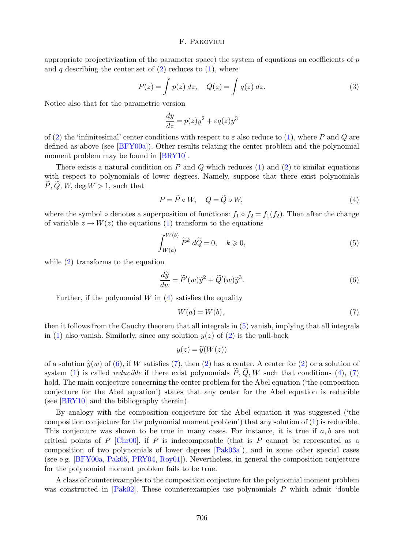appropriate projectivization of the parameter space) the system of equations on coefficients of  $p$ and q describing the center set of  $(2)$  reduces to  $(1)$ , where

$$
P(z) = \int p(z) dz, \quad Q(z) = \int q(z) dz.
$$
 (3)

Notice also that for the parametric version

$$
\frac{dy}{dz} = p(z)y^2 + \varepsilon q(z)y^3
$$

of [\(2\)](#page-1-0) the 'infinitesimal' center conditions with respect to  $\varepsilon$  also reduce to [\(1\)](#page-1-1), where P and Q are defined as above (see [\[BFY00a\]](#page-23-2)). Other results relating the center problem and the polynomial moment problem may be found in [\[BRY10\]](#page-23-15).

There exists a natural condition on  $P$  and  $Q$  which reduces [\(1\)](#page-1-1) and [\(2\)](#page-1-0) to similar equations with respect to polynomials of lower degrees. Namely, suppose that there exist polynomials  $P, Q, W, \deg W > 1$ , such that

<span id="page-2-0"></span>
$$
P = \tilde{P} \circ W, \quad Q = \tilde{Q} \circ W,\tag{4}
$$

where the symbol ∘ denotes a superposition of functions:  $f_1 \circ f_2 = f_1(f_2)$ . Then after the change of variable  $z \to W(z)$  the equations [\(1\)](#page-1-1) transform to the equations

<span id="page-2-1"></span>
$$
\int_{W(a)}^{W(b)} \tilde{P}^k d\tilde{Q} = 0, \quad k \ge 0,
$$
\n<sup>(5)</sup>

while  $(2)$  transforms to the equation

<span id="page-2-2"></span>
$$
\frac{d\widetilde{y}}{dw} = \widetilde{P}'(w)\widetilde{y}^2 + \widetilde{Q}'(w)\widetilde{y}^3.
$$
\n(6)

Further, if the polynomial  $W$  in  $(4)$  satisfies the equality

<span id="page-2-3"></span>
$$
W(a) = W(b),\tag{7}
$$

then it follows from the Cauchy theorem that all integrals in [\(5\)](#page-2-1) vanish, implying that all integrals in [\(1\)](#page-1-1) also vanish. Similarly, since any solution  $y(z)$  of [\(2\)](#page-1-0) is the pull-back

$$
y(z) = \widetilde{y}(W(z))
$$

of a solution  $\tilde{y}(w)$  of [\(6\)](#page-2-2), if W satisfies [\(7\)](#page-2-3), then [\(2\)](#page-1-0) has a center. A center for (2) or a solution of system [\(1\)](#page-1-1) is called *reducible* if there exist polynomials  $\tilde{P}, \tilde{Q}, W$  such that conditions [\(4\)](#page-2-0), [\(7\)](#page-2-3) hold. The main conjecture concerning the center problem for the Abel equation ('the composition conjecture for the Abel equation') states that any center for the Abel equation is reducible (see [\[BRY10\]](#page-23-15) and the bibliography therein).

By analogy with the composition conjecture for the Abel equation it was suggested ('the composition conjecture for the polynomial moment problem') that any solution of [\(1\)](#page-1-1) is reducible. This conjecture was shown to be true in many cases. For instance, it is true if a, b are not critical points of P  $[Chro0]$ , if P is indecomposable (that is P cannot be represented as a composition of two polynomials of lower degrees [\[Pak03a\]](#page-23-8)), and in some other special cases (see e.g. [\[BFY00a,](#page-23-2) [Pak05,](#page-23-10) [PRY04,](#page-23-12) [Roy01\]](#page-23-13)). Nevertheless, in general the composition conjecture for the polynomial moment problem fails to be true.

A class of counterexamples to the composition conjecture for the polynomial moment problem was constructed in  $[Pak02]$ . These counterexamples use polynomials P which admit 'double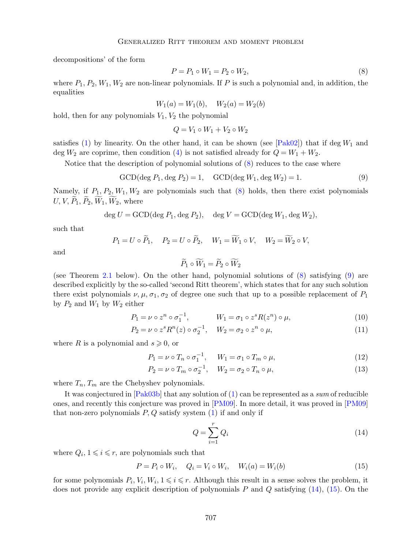decompositions' of the form

<span id="page-3-0"></span>
$$
P = P_1 \circ W_1 = P_2 \circ W_2,\tag{8}
$$

where  $P_1, P_2, W_1, W_2$  are non-linear polynomials. If P is such a polynomial and, in addition, the equalities

$$
W_1(a) = W_1(b), \quad W_2(a) = W_2(b)
$$

hold, then for any polynomials  $V_1, V_2$  the polynomial

$$
Q = V_1 \circ W_1 + V_2 \circ W_2
$$

satisfies [\(1\)](#page-1-1) by linearity. On the other hand, it can be shown (see  $[Pak02]$ ) that if deg  $W_1$  and deg  $W_2$  are coprime, then condition [\(4\)](#page-2-0) is not satisfied already for  $Q = W_1 + W_2$ .

Notice that the description of polynomial solutions of [\(8\)](#page-3-0) reduces to the case where

<span id="page-3-1"></span>
$$
GCD(\deg P_1, \deg P_2) = 1, \quad GCD(\deg W_1, \deg W_2) = 1.
$$
 (9)

Namely, if  $P_1, P_2, W_1, W_2$  are polynomials such that  $(8)$  holds, then there exist polynomials  $U, V, P_1, P_2, W_1, W_2$ , where

$$
\deg U = \text{GCD}(\deg P_1, \deg P_2), \quad \deg V = \text{GCD}(\deg W_1, \deg W_2),
$$

such that

$$
P_1 = U \circ \widetilde{P}_1, \quad P_2 = U \circ \widetilde{P}_2, \quad W_1 = \widetilde{W}_1 \circ V, \quad W_2 = \widetilde{W}_2 \circ V,
$$

and

<span id="page-3-4"></span>
$$
\widetilde{P}_1 \circ \widetilde{W}_1 = \widetilde{P}_2 \circ \widetilde{W}_2
$$

(see Theorem [2.1](#page-6-0) below). On the other hand, polynomial solutions of [\(8\)](#page-3-0) satisfying [\(9\)](#page-3-1) are described explicitly by the so-called 'second Ritt theorem', which states that for any such solution there exist polynomials  $\nu, \mu, \sigma_1, \sigma_2$  of degree one such that up to a possible replacement of  $P_1$ by  $P_2$  and  $W_1$  by  $W_2$  either

$$
P_1 = \nu \circ z^n \circ \sigma_1^{-1}, \qquad W_1 = \sigma_1 \circ z^s R(z^n) \circ \mu, \qquad (10)
$$

$$
P_2 = \nu \circ z^s R^n(z) \circ \sigma_2^{-1}, \quad W_2 = \sigma_2 \circ z^n \circ \mu,\tag{11}
$$

where R is a polynomial and  $s \geqslant 0$ , or

$$
P_1 = \nu \circ T_n \circ \sigma_1^{-1}, \qquad W_1 = \sigma_1 \circ T_m \circ \mu,\tag{12}
$$

$$
P_2 = \nu \circ T_m \circ \sigma_2^{-1}, \quad W_2 = \sigma_2 \circ T_n \circ \mu,\tag{13}
$$

where  $T_n, T_m$  are the Chebyshev polynomials.

It was conjectured in  $[Pla 803b]$  that any solution of [\(1\)](#page-1-1) can be represented as a sum of reducible ones, and recently this conjecture was proved in [\[PM09\]](#page-23-11). In more detail, it was proved in [\[PM09\]](#page-23-11) that non-zero polynomials  $P, Q$  satisfy system  $(1)$  if and only if

<span id="page-3-5"></span><span id="page-3-2"></span>
$$
Q = \sum_{i=1}^{r} Q_i \tag{14}
$$

where  $Q_i, 1 \leq i \leq r$ , are polynomials such that

<span id="page-3-3"></span>
$$
P = P_i \circ W_i, \quad Q_i = V_i \circ W_i, \quad W_i(a) = W_i(b) \tag{15}
$$

for some polynomials  $P_i, V_i, W_i, 1 \leq i \leq r$ . Although this result in a sense solves the problem, it does not provide any explicit description of polynomials  $P$  and  $Q$  satisfying  $(14)$ ,  $(15)$ . On the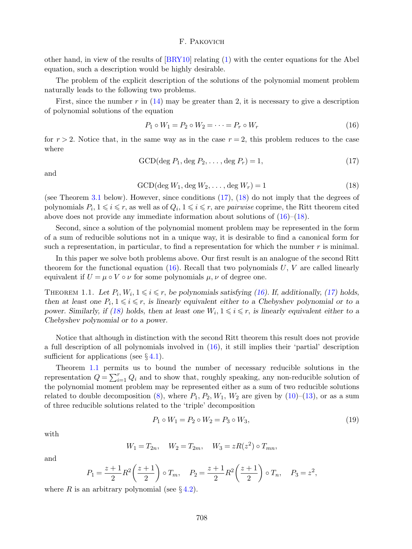other hand, in view of the results of [\[BRY10\]](#page-23-15) relating [\(1\)](#page-1-1) with the center equations for the Abel equation, such a description would be highly desirable.

The problem of the explicit description of the solutions of the polynomial moment problem naturally leads to the following two problems.

First, since the number r in  $(14)$  may be greater than 2, it is necessary to give a description of polynomial solutions of the equation

<span id="page-4-2"></span>
$$
P_1 \circ W_1 = P_2 \circ W_2 = \dots = P_r \circ W_r \tag{16}
$$

for  $r > 2$ . Notice that, in the same way as in the case  $r = 2$ , this problem reduces to the case where

<span id="page-4-0"></span>
$$
\text{GCD}(\text{deg } P_1, \text{deg } P_2, \dots, \text{deg } P_r) = 1,\tag{17}
$$

and

<span id="page-4-1"></span>
$$
\text{GCD}(\text{deg }W_1, \text{deg }W_2, \dots, \text{deg }W_r) = 1\tag{18}
$$

(see Theorem [3.1](#page-9-0) below). However, since conditions [\(17\)](#page-4-0), [\(18\)](#page-4-1) do not imply that the degrees of polynomials  $P_i, 1 \leq i \leq r$ , as well as of  $Q_i, 1 \leq i \leq r$ , are *pairwise* coprime, the Ritt theorem cited above does not provide any immediate information about solutions of  $(16)$ – $(18)$ .

Second, since a solution of the polynomial moment problem may be represented in the form of a sum of reducible solutions not in a unique way, it is desirable to find a canonical form for such a representation, in particular, to find a representation for which the number  $r$  is minimal.

In this paper we solve both problems above. Our first result is an analogue of the second Ritt theorem for the functional equation  $(16)$ . Recall that two polynomials U, V are called linearly equivalent if  $U = \mu \circ V \circ \nu$  for some polynomials  $\mu, \nu$  of degree one.

<span id="page-4-3"></span>THEOREM 1.1. Let  $P_i$ ,  $W_i$ ,  $1 \leq i \leq r$ , be polynomials satisfying [\(16\)](#page-4-2). If, additionally, [\(17\)](#page-4-0) holds, then at least one  $P_i, 1 \leq i \leq r$ , is linearly equivalent either to a Chebyshev polynomial or to a power. Similarly, if [\(18\)](#page-4-1) holds, then at least one  $W_i, 1 \leq i \leq r$ , is linearly equivalent either to a Chebyshev polynomial or to a power.

Notice that although in distinction with the second Ritt theorem this result does not provide a full description of all polynomials involved in [\(16\)](#page-4-2), it still implies their 'partial' description sufficient for applications (see  $\S 4.1$ ).

Theorem [1.1](#page-4-3) permits us to bound the number of necessary reducible solutions in the representation  $Q = \sum_{i=1}^{r} Q_i$  and to show that, roughly speaking, any non-reducible solution of the polynomial moment problem may be represented either as a sum of two reducible solutions related to double decomposition [\(8\)](#page-3-0), where  $P_1, P_2, W_1, W_2$  are given by [\(10\)](#page-3-4)–[\(13\)](#page-3-5), or as a sum of three reducible solutions related to the 'triple' decomposition

<span id="page-4-4"></span>
$$
P_1 \circ W_1 = P_2 \circ W_2 = P_3 \circ W_3,\tag{19}
$$

with

$$
W_1 = T_{2n}
$$
,  $W_2 = T_{2m}$ ,  $W_3 = zR(z^2) \circ T_{mn}$ ,

and

$$
P_1 = \frac{z+1}{2} R^2 \left(\frac{z+1}{2}\right) \circ T_m, \quad P_2 = \frac{z+1}{2} R^2 \left(\frac{z+1}{2}\right) \circ T_n, \quad P_3 = z^2,
$$

where R is an arbitrary polynomial (see  $\S 4.2$ ).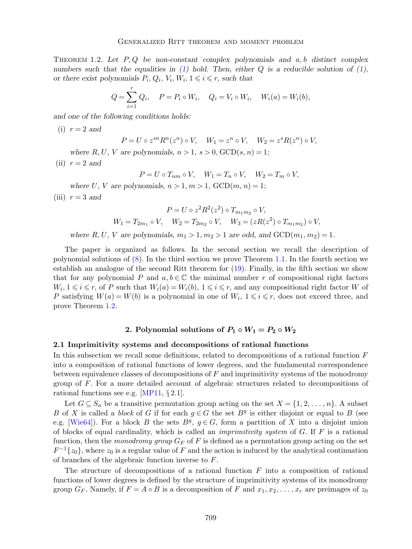<span id="page-5-0"></span>THEOREM 1.2. Let  $P, Q$  be non-constant complex polynomials and  $a, b$  distinct complex numbers such that the equalities in [\(1\)](#page-1-1) hold. Then, either  $Q$  is a reducible solution of (1), or there exist polynomials  $P_i, Q_i, V_i, W_i, 1 \leq i \leq r$ , such that

$$
Q = \sum_{i=1}^{r} Q_i, \quad P = P_i \circ W_i, \quad Q_i = V_i \circ W_i, \quad W_i(a) = W_i(b),
$$

and one of the following conditions holds:

 $(i)$   $r = 2$  and

$$
P = U \circ z^{sn} R^n(z^n) \circ V, \quad W_1 = z^n \circ V, \quad W_2 = z^s R(z^n) \circ V,
$$

where R, U, V are polynomials,  $n > 1$ ,  $s > 0$ ,  $GCD(s, n) = 1$ ;

(ii)  $r = 2$  and

$$
P = U \circ T_{nm} \circ V, \quad W_1 = T_n \circ V, \quad W_2 = T_m \circ V,
$$

where U, V are polynomials,  $n > 1, m > 1$ ,  $GCD(m, n) = 1$ ;

(iii)  $r = 3$  and

$$
P = U \circ z^2 R^2(z^2) \circ T_{m_1 m_2} \circ V,
$$
  
 
$$
W_1 = T_{2m_1} \circ V, \quad W_2 = T_{2m_2} \circ V, \quad W_3 = (zR(z^2) \circ T_{m_1 m_2}) \circ V,
$$

where R, U, V are polynomials,  $m_1 > 1$ ,  $m_2 > 1$  are odd, and  $GCD(m_1, m_2) = 1$ .

The paper is organized as follows. In the second section we recall the description of polynomial solutions of  $(8)$ . In the third section we prove Theorem [1.1.](#page-4-3) In the fourth section we establish an analogue of the second Ritt theorem for [\(19\)](#page-4-4). Finally, in the fifth section we show that for any polynomial P and  $a, b \in \mathbb{C}$  the minimal number r of compositional right factors  $W_i, 1 \leq i \leq r$ , of P such that  $W_i(a) = W_i(b), 1 \leq i \leq r$ , and any compositional right factor W of P satisfying  $W(a) = W(b)$  is a polynomial in one of  $W_i$ ,  $1 \leq i \leq r$ , does not exceed three, and prove Theorem [1.2.](#page-5-0)

# 2. Polynomial solutions of  $P_1 \circ W_1 = P_2 \circ W_2$

#### 2.1 Imprimitivity systems and decompositions of rational functions

In this subsection we recall some definitions, related to decompositions of a rational function F into a composition of rational functions of lower degrees, and the fundamental correspondence between equivalence classes of decompositions of F and imprimitivity systems of the monodromy group of F. For a more detailed account of algebraic structures related to decompositions of rational functions see e.g. [\[MP11,](#page-23-17) § 2.1].

Let  $G \subseteq S_n$  be a transitive permutation group acting on the set  $X = \{1, 2, \ldots, n\}$ . A subset B of X is called a *block* of G if for each  $g \in G$  the set  $B<sup>g</sup>$  is either disjoint or equal to B (see e.g. [\[Wie64\]](#page-24-1)). For a block B the sets  $B^g$ ,  $g \in G$ , form a partition of X into a disjoint union of blocks of equal cardinality, which is called an *imprimitivity system* of  $G$ . If  $F$  is a rational function, then the monodromy group  $G_F$  of F is defined as a permutation group acting on the set  $F^{-1}\lbrace z_0 \rbrace$ , where  $z_0$  is a regular value of F and the action is induced by the analytical continuation of branches of the algebraic function inverse to F.

The structure of decompositions of a rational function  $F$  into a composition of rational functions of lower degrees is defined by the structure of imprimitivity systems of its monodromy group  $G_F$ . Namely, if  $F = A \circ B$  is a decomposition of F and  $x_1, x_2, \ldots, x_r$  are preimages of  $z_0$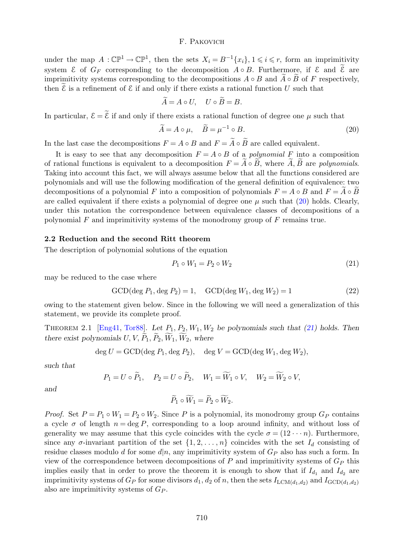under the map  $A: \mathbb{CP}^1 \to \mathbb{CP}^1$ , then the sets  $X_i = B^{-1}{x_i}$ ,  $1 \leq i \leq r$ , form an imprimitivity system  $\mathcal E$  of  $G_F$  corresponding to the decomposition  $A \circ B$ . Furthermore, if  $\mathcal E$  and  $\widetilde{\mathcal E}$  are imprimitivity systems corresponding to the decompositions  $A \circ B$  and  $\widetilde{A} \circ \widetilde{B}$  of F respectively, then  $\mathcal E$  is a refinement of  $\mathcal E$  if and only if there exists a rational function  $U$  such that

$$
\widetilde{A} = A \circ U, \quad U \circ \widetilde{B} = B.
$$

In particular,  $\mathcal{E} = \tilde{\mathcal{E}}$  if and only if there exists a rational function of degree one  $\mu$  such that

<span id="page-6-1"></span>
$$
\widetilde{A} = A \circ \mu, \quad \widetilde{B} = \mu^{-1} \circ B. \tag{20}
$$

In the last case the decompositions  $F = A \circ B$  and  $F = \widetilde{A} \circ \widetilde{B}$  are called equivalent.

It is easy to see that any decomposition  $F = A \circ B$  of a *polynomial* F into a composition of rational functions is equivalent to a decomposition  $F = \tilde{A} \circ \tilde{B}$ , where  $\tilde{A}$ ,  $\tilde{B}$  are polynomials. Taking into account this fact, we will always assume below that all the functions considered are polynomials and will use the following modification of the general definition of equivalence: two decompositions of a polynomial F into a composition of polynomials  $F = A \circ B$  and  $F = A \circ B$ are called equivalent if there exists a polynomial of degree one  $\mu$  such that [\(20\)](#page-6-1) holds. Clearly, under this notation the correspondence between equivalence classes of decompositions of a polynomial  $F$  and imprimitivity systems of the monodromy group of  $F$  remains true.

#### 2.2 Reduction and the second Ritt theorem

The description of polynomial solutions of the equation

<span id="page-6-2"></span>
$$
P_1 \circ W_1 = P_2 \circ W_2 \tag{21}
$$

may be reduced to the case where

<span id="page-6-3"></span>
$$
GCD(\deg P_1, \deg P_2) = 1, \quad GCD(\deg W_1, \deg W_2) = 1 \tag{22}
$$

owing to the statement given below. Since in the following we will need a generalization of this statement, we provide its complete proof.

<span id="page-6-0"></span>THEOREM 2.1 [\[Eng41,](#page-23-18) [Tor88\]](#page-24-2). Let  $P_1$ ,  $P_2$ ,  $W_1$ ,  $W_2$  be polynomials such that [\(21\)](#page-6-2) holds. Then there exist polynomials  $U, V, P_1, P_2, W_1, W_2$ , where

$$
\deg U = \text{GCD}(\deg P_1, \deg P_2), \quad \deg V = \text{GCD}(\deg W_1, \deg W_2),
$$

such that

$$
P_1 = U \circ \widetilde{P}_1
$$
,  $P_2 = U \circ \widetilde{P}_2$ ,  $W_1 = \widetilde{W}_1 \circ V$ ,  $W_2 = \widetilde{W}_2 \circ V$ ,

and

$$
\widetilde{P}_1 \circ \widetilde{W}_1 = \widetilde{P}_2 \circ \widetilde{W}_2.
$$

*Proof.* Set  $P = P_1 \circ W_1 = P_2 \circ W_2$ . Since P is a polynomial, its monodromy group  $G_P$  contains a cycle  $\sigma$  of length  $n = \deg P$ , corresponding to a loop around infinity, and without loss of generality we may assume that this cycle coincides with the cycle  $\sigma = (12 \cdots n)$ . Furthermore, since any  $\sigma$ -invariant partition of the set  $\{1, 2, \ldots, n\}$  coincides with the set  $I_d$  consisting of residue classes modulo d for some  $d|n$ , any imprimitivity system of  $G_P$  also has such a form. In view of the correspondence between decompositions of  $P$  and imprimitivity systems of  $G_P$  this implies easily that in order to prove the theorem it is enough to show that if  $I_{d_1}$  and  $I_{d_2}$  are imprimitivity systems of  $G_P$  for some divisors  $d_1, d_2$  of n, then the sets  $I_{\text{LCM}(d_1, d_2)}$  and  $I_{\text{GCD}(d_1, d_2)}$ also are imprimitivity systems of  $G_P$ .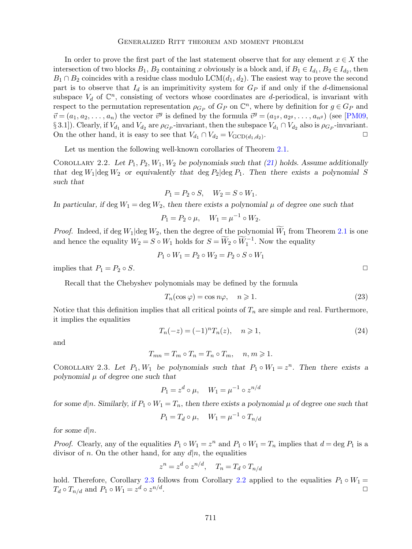In order to prove the first part of the last statement observe that for any element  $x \in X$  the intersection of two blocks  $B_1$ ,  $B_2$  containing x obviously is a block and, if  $B_1 \in I_{d_1}$ ,  $B_2 \in I_{d_2}$ , then  $B_1 \cap B_2$  coincides with a residue class modulo LCM $(d_1, d_2)$ . The easiest way to prove the second part is to observe that  $I_d$  is an imprimitivity system for  $G_P$  if and only if the d-dimensional subspace  $V_d$  of  $\mathbb{C}^n$ , consisting of vectors whose coordinates are d-periodical, is invariant with respect to the permutation representation  $\rho_{G_P}$  of  $G_P$  on  $\mathbb{C}^n$ , where by definition for  $g \in G_P$  and  $\vec{v} = (a_1, a_2, \dots, a_n)$  the vector  $\vec{v}^g$  is defined by the formula  $\vec{v}^g = (a_{1g}, a_{2g}, \dots, a_{ng})$  (see [\[PM09,](#page-23-11) § 3.1]). Clearly, if  $V_{d_1}$  and  $V_{d_2}$  are  $\rho_{G_P}$ -invariant, then the subspace  $V_{d_1} \cap V_{d_2}$  also is  $\rho_{G_P}$ -invariant. On the other hand, it is easy to see that  $V_{d_1} \cap V_{d_2} = V_{\text{GCD}(d_1, d_2)}$ . .  $\Box$ 

Let us mention the following well-known corollaries of Theorem [2.1.](#page-6-0)

<span id="page-7-1"></span>COROLLARY 2.2. Let  $P_1$ ,  $P_2$ ,  $W_1$ ,  $W_2$  be polynomials such that [\(21\)](#page-6-2) holds. Assume additionally that deg  $W_1$  deg  $W_2$  or equivalently that deg  $P_2$  deg  $P_1$ . Then there exists a polynomial S such that

$$
P_1 = P_2 \circ S, \quad W_2 = S \circ W_1.
$$

In particular, if deg  $W_1 = \text{deg } W_2$ , then there exists a polynomial  $\mu$  of degree one such that

$$
P_1 = P_2 \circ \mu, \quad W_1 = \mu^{-1} \circ W_2.
$$

*Proof.* Indeed, if deg  $W_1$  deg  $W_2$ , then the degree of the polynomial  $\widetilde{W}_1$  from Theorem [2.1](#page-6-0) is one and hence the equality  $W_2 = S \circ W_1$  holds for  $S = \widetilde{W}_2 \circ \widetilde{W}_1^{-1}$ . Now the equality

$$
P_1 \circ W_1 = P_2 \circ W_2 = P_2 \circ S \circ W_1
$$

implies that  $P_1 = P_2 \circ S$ .

Recall that the Chebyshev polynomials may be defined by the formula

$$
T_n(\cos \varphi) = \cos n\varphi, \quad n \ge 1. \tag{23}
$$

Notice that this definition implies that all critical points of  $T_n$  are simple and real. Furthermore, it implies the equalities

<span id="page-7-2"></span>
$$
T_n(-z) = (-1)^n T_n(z), \quad n \ge 1,
$$
\n(24)

and

$$
T_{mn} = T_m \circ T_n = T_n \circ T_m, \quad n, m \geq 1.
$$

<span id="page-7-0"></span>COROLLARY 2.3. Let  $P_1, W_1$  be polynomials such that  $P_1 \circ W_1 = z^n$ . Then there exists a polynomial  $\mu$  of degree one such that

$$
P_1 = z^d \circ \mu, \quad W_1 = \mu^{-1} \circ z^{n/d}
$$

for some d|n. Similarly, if  $P_1 \circ W_1 = T_n$ , then there exists a polynomial  $\mu$  of degree one such that

$$
P_1 = T_d \circ \mu, \quad W_1 = \mu^{-1} \circ T_{n/d}
$$

for some  $d|n$ .

*Proof.* Clearly, any of the equalities  $P_1 \circ W_1 = z^n$  and  $P_1 \circ W_1 = T_n$  implies that  $d = \deg P_1$  is a divisor of n. On the other hand, for any  $d|n$ , the equalities

$$
z^n = z^d \circ z^{n/d}, \quad T_n = T_d \circ T_{n/d}
$$

hold. Therefore, Corollary [2.3](#page-7-0) follows from Corollary [2.2](#page-7-1) applied to the equalities  $P_1 \circ W_1 =$  $T_d \circ T_{n/d}$  and  $P_1 \circ W_1 = z^d \circ z^{n/d}$ . The contract of the contract of the contract of  $\Box$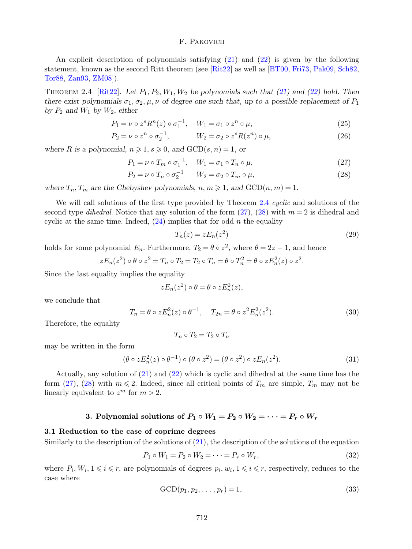An explicit description of polynomials satisfying [\(21\)](#page-6-2) and [\(22\)](#page-6-3) is given by the following statement, known as the second Ritt theorem (see [\[Rit22\]](#page-23-19) as well as [\[BT00,](#page-23-20) [Fri73,](#page-23-21) [Pak09,](#page-23-22) [Sch82,](#page-24-3) [Tor88,](#page-24-2) [Zan93,](#page-24-4) [ZM08\]](#page-24-5)).

<span id="page-8-0"></span>THEOREM 2.4 [\[Rit22\]](#page-23-19). Let  $P_1$ ,  $P_2$ ,  $W_1$ ,  $W_2$  be polynomials such that [\(21\)](#page-6-2) and [\(22\)](#page-6-3) hold. Then there exist polynomials  $\sigma_1, \sigma_2, \mu, \nu$  of degree one such that, up to a possible replacement of  $P_1$ by  $P_2$  and  $W_1$  by  $W_2$ , either

$$
P_1 = \nu \circ z^s R^n(z) \circ \sigma_1^{-1}, \quad W_1 = \sigma_1 \circ z^n \circ \mu,\tag{25}
$$

$$
P_2 = \nu \circ z^n \circ \sigma_2^{-1}, \qquad W_2 = \sigma_2 \circ z^s R(z^n) \circ \mu, \qquad (26)
$$

where R is a polynomial,  $n \ge 1$ ,  $s \ge 0$ , and  $GCD(s, n) = 1$ , or

$$
P_1 = \nu \circ T_m \circ \sigma_1^{-1}, \quad W_1 = \sigma_1 \circ T_n \circ \mu,\tag{27}
$$

$$
P_2 = \nu \circ T_n \circ \sigma_2^{-1} \qquad W_2 = \sigma_2 \circ T_m \circ \mu,\tag{28}
$$

where  $T_n$ ,  $T_m$  are the Chebyshev polynomials,  $n, m \ge 1$ , and  $GCD(n, m) = 1$ .

We will call solutions of the first type provided by Theorem [2.4](#page-8-0) cyclic and solutions of the second type *dihedral*. Notice that any solution of the form  $(27)$ ,  $(28)$  with  $m = 2$  is dihedral and cyclic at the same time. Indeed,  $(24)$  implies that for odd n the equality

<span id="page-8-5"></span><span id="page-8-2"></span><span id="page-8-1"></span>
$$
T_n(z) = z E_n(z^2) \tag{29}
$$

holds for some polynomial  $E_n$ . Furthermore,  $T_2 = \theta \circ z^2$ , where  $\theta = 2z - 1$ , and hence

$$
zE_n(z^2) \circ \theta \circ z^2 = T_n \circ T_2 = T_2 \circ T_n = \theta \circ T_n^2 = \theta \circ zE_n^2(z) \circ z^2.
$$

Since the last equality implies the equality

$$
zE_n(z^2)\circ\theta=\theta\circ zE_n^2(z),
$$

we conclude that

<span id="page-8-6"></span>
$$
T_n = \theta \circ z E_n^2(z) \circ \theta^{-1}, \quad T_{2n} = \theta \circ z^2 E_n^2(z^2).
$$
 (30)

Therefore, the equality

$$
T_n\circ T_2=T_2\circ T_n
$$

may be written in the form

$$
(\theta \circ z E_n^2(z) \circ \theta^{-1}) \circ (\theta \circ z^2) = (\theta \circ z^2) \circ z E_n(z^2). \tag{31}
$$

Actually, any solution of [\(21\)](#page-6-2) and [\(22\)](#page-6-3) which is cyclic and dihedral at the same time has the form [\(27\)](#page-8-1), [\(28\)](#page-8-2) with  $m \le 2$ . Indeed, since all critical points of  $T_m$  are simple,  $T_m$  may not be linearly equivalent to  $z^m$  for  $m > 2$ .

# 3. Polynomial solutions of  $P_1 \circ W_1 = P_2 \circ W_2 = \cdots = P_r \circ W_r$

## 3.1 Reduction to the case of coprime degrees

Similarly to the description of the solutions of  $(21)$ , the description of the solutions of the equation

<span id="page-8-3"></span>
$$
P_1 \circ W_1 = P_2 \circ W_2 = \dots = P_r \circ W_r,\tag{32}
$$

where  $P_i, W_i, 1 \leq i \leq r$ , are polynomials of degrees  $p_i, w_i, 1 \leq i \leq r$ , respectively, reduces to the case where

<span id="page-8-4"></span>
$$
\text{GCD}(p_1, p_2, \dots, p_r) = 1,\tag{33}
$$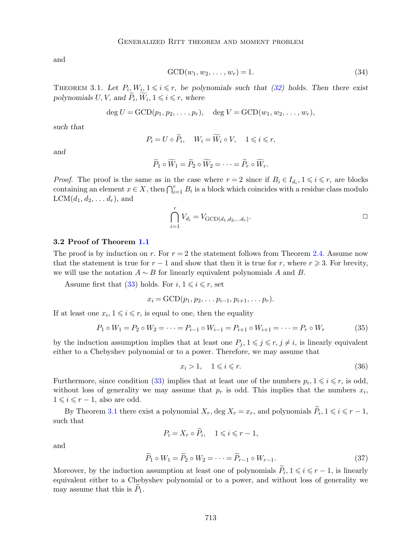and

<span id="page-9-2"></span>
$$
\text{GCD}(w_1, w_2, \dots, w_r) = 1. \tag{34}
$$

<span id="page-9-0"></span>THEOREM 3.1. Let  $P_i, W_i, 1 \leq i \leq r$ , be polynomials such that [\(32\)](#page-8-3) holds. Then there exist polynomials U, V, and  $\widetilde{P}_i$ ,  $\widetilde{W}_i$ ,  $1 \leq i \leq r$ , where

$$
\deg U = \text{GCD}(p_1, p_2, \dots, p_r), \quad \deg V = \text{GCD}(w_1, w_2, \dots, w_r),
$$

such that

$$
P_i = U \circ \widetilde{P}_i, \quad W_i = \widetilde{W}_i \circ V, \quad 1 \leq i \leq r,
$$

and

$$
\widetilde{P}_1 \circ \widetilde{W}_1 = \widetilde{P}_2 \circ \widetilde{W}_2 = \cdots = \widetilde{P}_r \circ \widetilde{W}_r.
$$

*Proof.* The proof is the same as in the case where  $r = 2$  since if  $B_i \in I_{d_i}$ ,  $1 \leq i \leq r$ , are blocks containing an element  $x \in X$ , then  $\bigcap_{i=1}^r B_i$  is a block which coincides with a residue class modulo  $LCM(d_1, d_2, \ldots, d_r)$ , and

$$
\bigcap_{i=1}^r V_{d_i} = V_{\text{GCD}(d_1, d_2, \dots, d_r)}.
$$

# 3.2 Proof of Theorem [1.1](#page-4-3)

The proof is by induction on r. For  $r = 2$  the statement follows from Theorem [2.4.](#page-8-0) Assume now that the statement is true for  $r - 1$  and show that then it is true for r, where  $r \geq 3$ . For brevity, we will use the notation  $A \sim B$  for linearly equivalent polynomials A and B.

Assume first that [\(33\)](#page-8-4) holds. For  $i, 1 \leq i \leq r$ , set

$$
x_i=\text{GCD}(p_1,p_2,\ldots p_{i-1},p_{i+1},\ldots p_r).
$$

If at least one  $x_i, 1 \leq i \leq r$ , is equal to one, then the equality

<span id="page-9-3"></span>
$$
P_1 \circ W_1 = P_2 \circ W_2 = \dots = P_{i-1} \circ W_{i-1} = P_{i+1} \circ W_{i+1} = \dots = P_r \circ W_r \tag{35}
$$

by the induction assumption implies that at least one  $P_i, 1 \leq j \leq r, j \neq i$ , is linearly equivalent either to a Chebyshev polynomial or to a power. Therefore, we may assume that

<span id="page-9-1"></span>
$$
x_i > 1, \quad 1 \leqslant i \leqslant r. \tag{36}
$$

Furthermore, since condition [\(33\)](#page-8-4) implies that at least one of the numbers  $p_i, 1 \leq i \leq r$ , is odd, without loss of generality we may assume that  $p_r$  is odd. This implies that the numbers  $x_i$ ,  $1 \leq i \leq r - 1$ , also are odd.

By Theorem [3.1](#page-9-0) there exist a polynomial  $X_r$ , deg  $X_r = x_r$ , and polynomials  $\widetilde{P}_i$ ,  $1 \leq i \leq r - 1$ , such that

$$
P_i = X_r \circ \widetilde{P}_i, \quad 1 \leqslant i \leqslant r-1,
$$

and

$$
\widetilde{P}_1 \circ W_1 = \widetilde{P}_2 \circ W_2 = \dots = \widetilde{P}_{r-1} \circ W_{r-1}.
$$
\n(37)

Moreover, by the induction assumption at least one of polynomials  $\widetilde{P}_i$ ,  $1 \leq i \leq r-1$ , is linearly equivalent either to a Chebyshev polynomial or to a power, and without loss of generality we may assume that this is  $P_1$ .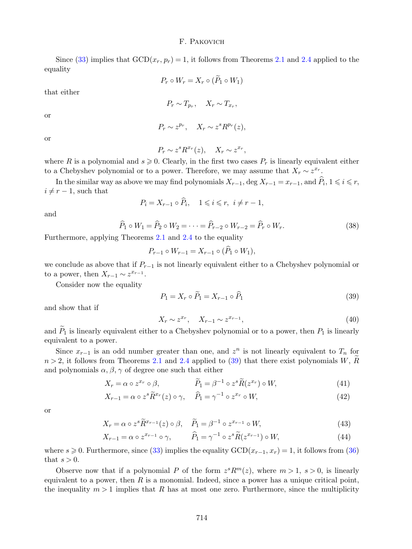Since [\(33\)](#page-8-4) implies that  $GCD(x_r, p_r) = 1$ , it follows from Theorems [2.1](#page-6-0) and [2.4](#page-8-0) applied to the equality

$$
P_r \circ W_r = X_r \circ (P_1 \circ W_1)
$$

that either

$$
P_r \sim T_{p_r}, \quad X_r \sim T_{x_r},
$$

or

$$
P_r \sim z^{p_r}, \quad X_r \sim z^s R^{p_r}(z),
$$

or

$$
P_r \sim z^s R^{x_r}(z), \quad X_r \sim z^{x_r},
$$

where R is a polynomial and  $s \geqslant 0$ . Clearly, in the first two cases  $P_r$  is linearly equivalent either to a Chebyshev polynomial or to a power. Therefore, we may assume that  $X_r \sim z^{x_r}$ .

In the similar way as above we may find polynomials  $X_{r-1}$ , deg  $X_{r-1} = x_{r-1}$ , and  $\widehat{P}_i$ ,  $1 \leq i \leq r$ ,  $i \neq r - 1$ , such that

$$
P_i = X_{r-1} \circ \widehat{P}_i, \quad 1 \leq i \leq r, \ i \neq r-1,
$$

and

$$
\widehat{P}_1 \circ W_1 = \widehat{P}_2 \circ W_2 = \dots = \widehat{P}_{r-2} \circ W_{r-2} = \widehat{P}_r \circ W_r.
$$
\n(38)

Furthermore, applying Theorems [2.1](#page-6-0) and [2.4](#page-8-0) to the equality

$$
P_{r-1} \circ W_{r-1} = X_{r-1} \circ (\hat{P}_1 \circ W_1),
$$

we conclude as above that if  $P_{r-1}$  is not linearly equivalent either to a Chebyshev polynomial or to a power, then  $X_{r-1} \sim z^{x_{r-1}}$ .

Consider now the equality

<span id="page-10-0"></span>
$$
P_1 = X_r \circ \tilde{P}_1 = X_{r-1} \circ \tilde{P}_1 \tag{39}
$$

and show that if

<span id="page-10-2"></span><span id="page-10-1"></span>
$$
X_r \sim z^{x_r}, \quad X_{r-1} \sim z^{x_{r-1}},\tag{40}
$$

and  $\widetilde{P}_1$  is linearly equivalent either to a Chebyshev polynomial or to a power, then  $P_1$  is linearly equivalent to a power.

Since  $x_{r-1}$  is an odd number greater than one, and  $z^n$  is not linearly equivalent to  $T_n$  for  $n > 2$ , it follows from Theorems [2.1](#page-6-0) and [2.4](#page-8-0) applied to [\(39\)](#page-10-0) that there exist polynomials W,  $\widetilde{R}$ and polynomials  $\alpha$ ,  $\beta$ ,  $\gamma$  of degree one such that either

$$
X_r = \alpha \circ z^{x_r} \circ \beta, \qquad \tilde{P}_1 = \beta^{-1} \circ z^s \tilde{R}(z^{x_r}) \circ W, \tag{41}
$$

$$
X_{r-1} = \alpha \circ z^s \tilde{R}^{x_r}(z) \circ \gamma, \quad \hat{P}_1 = \gamma^{-1} \circ z^{x_r} \circ W,\tag{42}
$$

or

$$
X_r = \alpha \circ z^s \widetilde{R}^{x_{r-1}}(z) \circ \beta, \quad \widetilde{P}_1 = \beta^{-1} \circ z^{x_{r-1}} \circ W,\tag{43}
$$

$$
X_{r-1} = \alpha \circ z^{x_{r-1}} \circ \gamma, \qquad \widehat{P}_1 = \gamma^{-1} \circ z^s \widetilde{R}(z^{x_{r-1}}) \circ W,\tag{44}
$$

where  $s \ge 0$ . Furthermore, since [\(33\)](#page-8-4) implies the equality  $GCD(x_{r-1}, x_r) = 1$ , it follows from [\(36\)](#page-9-1) that  $s > 0$ .

Observe now that if a polynomial P of the form  $z^s R^m(z)$ , where  $m > 1$ ,  $s > 0$ , is linearly equivalent to a power, then  $R$  is a monomial. Indeed, since a power has a unique critical point, the inequality  $m > 1$  implies that R has at most one zero. Furthermore, since the multiplicity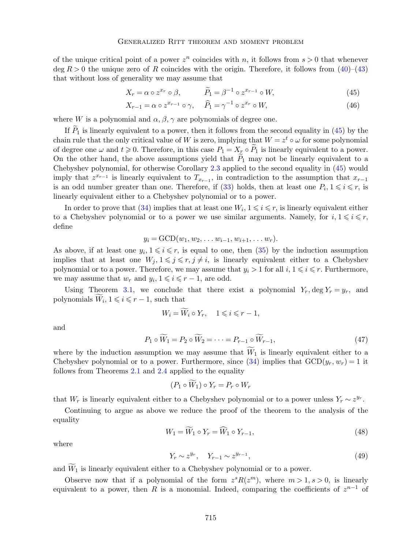of the unique critical point of a power  $z^n$  coincides with n, it follows from  $s > 0$  that whenever  $\deg R > 0$  the unique zero of R coincides with the origin. Therefore, it follows from  $(40)$ – $(43)$ that without loss of generality we may assume that

<span id="page-11-0"></span>
$$
X_r = \alpha \circ z^{x_r} \circ \beta, \qquad \tilde{P}_1 = \beta^{-1} \circ z^{x_{r-1}} \circ W, \tag{45}
$$

$$
X_{r-1} = \alpha \circ z^{x_{r-1}} \circ \gamma, \quad \widehat{P}_1 = \gamma^{-1} \circ z^{x_r} \circ W,\tag{46}
$$

where W is a polynomial and  $\alpha$ ,  $\beta$ ,  $\gamma$  are polynomials of degree one.

If  $\widetilde{P}_1$  is linearly equivalent to a power, then it follows from the second equality in [\(45\)](#page-11-0) by the chain rule that the only critical value of W is zero, implying that  $W = z^t \circ \omega$  for some polynomial of degree one  $\omega$  and  $t \geq 0$ . Therefore, in this case  $P_1 = X_r \circ \tilde{P}_1$  is linearly equivalent to a power. On the other hand, the above assumptions yield that  $P_1$  may not be linearly equivalent to a Chebyshev polynomial, for otherwise Corollary [2.3](#page-7-0) applied to the second equality in [\(45\)](#page-11-0) would imply that  $z^{x_{r-1}}$  is linearly equivalent to  $T_{x_{r-1}}$ , in contradiction to the assumption that  $x_{r-1}$ is an odd number greater than one. Therefore, if [\(33\)](#page-8-4) holds, then at least one  $P_i, 1 \leq i \leq r$ , is linearly equivalent either to a Chebyshev polynomial or to a power.

In order to prove that [\(34\)](#page-9-2) implies that at least one  $W_i$ ,  $1 \leq i \leq r$ , is linearly equivalent either to a Chebyshev polynomial or to a power we use similar arguments. Namely, for  $i, 1 \leq i \leq r$ , define

$$
y_i = \text{GCD}(w_1, w_2, \dots w_{i-1}, w_{i+1}, \dots w_r).
$$

As above, if at least one  $y_i, 1 \leq i \leq r$ , is equal to one, then [\(35\)](#page-9-3) by the induction assumption implies that at least one  $W_j$ ,  $1 \leq j \leq r$ ,  $j \neq i$ , is linearly equivalent either to a Chebyshev polynomial or to a power. Therefore, we may assume that  $y_i > 1$  for all  $i, 1 \leq i \leq r$ . Furthermore, we may assume that  $w_r$  and  $y_i, 1 \leq i \leq r-1$ , are odd.

Using Theorem [3.1,](#page-9-0) we conclude that there exist a polynomial  $Y_r$ , deg  $Y_r = y_r$ , and polynomials  $\widetilde{W}_i, 1 \leq i \leq r-1$ , such that

$$
W_i = \widetilde{W}_i \circ Y_r, \quad 1 \leqslant i \leqslant r-1,
$$

and

$$
P_1 \circ \widetilde{W}_1 = P_2 \circ \widetilde{W}_2 = \dots = P_{r-1} \circ \widetilde{W}_{r-1},\tag{47}
$$

where by the induction assumption we may assume that  $\widetilde{W}_1$  is linearly equivalent either to a Chebyshev polynomial or to a power. Furthermore, since [\(34\)](#page-9-2) implies that  $GCD(y_r, w_r) = 1$  it follows from Theorems [2.1](#page-6-0) and [2.4](#page-8-0) applied to the equality

$$
(P_1 \circ W_1) \circ Y_r = P_r \circ W_r
$$

that W<sub>r</sub> is linearly equivalent either to a Chebyshev polynomial or to a power unless  $Y_r \sim z^{y_r}$ .

Continuing to argue as above we reduce the proof of the theorem to the analysis of the equality

<span id="page-11-1"></span>
$$
W_1 = \widetilde{W}_1 \circ Y_r = \widehat{W}_1 \circ Y_{r-1},\tag{48}
$$

where

$$
Y_r \sim z^{y_r}, \quad Y_{r-1} \sim z^{y_{r-1}}, \tag{49}
$$

and  $\widetilde{W}_1$  is linearly equivalent either to a Chebyshev polynomial or to a power.

Observe now that if a polynomial of the form  $z^{s}R(z^{m})$ , where  $m > 1, s > 0$ , is linearly equivalent to a power, then R is a monomial. Indeed, comparing the coefficients of  $z^{n-1}$  of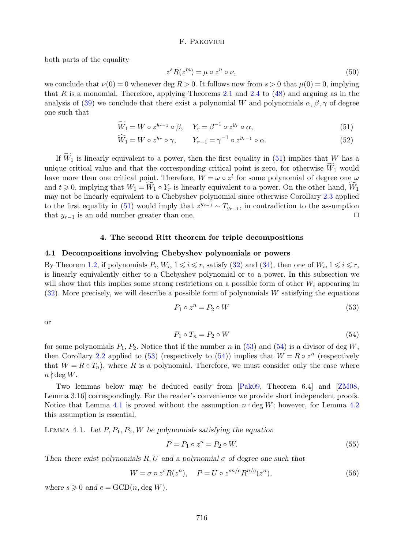both parts of the equality

<span id="page-12-7"></span><span id="page-12-1"></span>
$$
z^{s} R(z^{m}) = \mu \circ z^{n} \circ \nu,
$$
\n<sup>(50)</sup>

we conclude that  $\nu(0) = 0$  whenever deg  $R > 0$ . It follows now from  $s > 0$  that  $\mu(0) = 0$ , implying that R is a monomial. Therefore, applying Theorems [2.1](#page-6-0) and [2.4](#page-8-0) to  $(48)$  and arguing as in the analysis of [\(39\)](#page-10-0) we conclude that there exist a polynomial W and polynomials  $\alpha$ ,  $\beta$ ,  $\gamma$  of degree one such that

$$
\widetilde{W}_1 = W \circ z^{y_{r-1}} \circ \beta, \quad Y_r = \beta^{-1} \circ z^{y_r} \circ \alpha,
$$
\n
$$
(51)
$$

$$
\widehat{W}_1 = W \circ z^{y_r} \circ \gamma, \qquad Y_{r-1} = \gamma^{-1} \circ z^{y_{r-1}} \circ \alpha. \tag{52}
$$

If  $\widetilde{W}_1$  is linearly equivalent to a power, then the first equality in [\(51\)](#page-12-1) implies that W has a unique critical value and that the corresponding critical point is zero, for otherwise  $\widetilde{W}_1$  would have more than one critical point. Therefore,  $W = \omega \circ z^t$  for some polynomial of degree one  $\omega$ and  $t \geq 0$ , implying that  $W_1 = W_1 \circ Y_r$  is linearly equivalent to a power. On the other hand,  $W_1$ may not be linearly equivalent to a Chebyshev polynomial since otherwise Corollary [2.3](#page-7-0) applied to the first equality in [\(51\)](#page-12-1) would imply that  $z^{y_{r-1}} \sim T_{y_{r-1}}$ , in contradiction to the assumption that  $y_{r-1}$  is an odd number greater than one.  $\Box$ 

#### 4. The second Ritt theorem for triple decompositions

# <span id="page-12-0"></span>4.1 Decompositions involving Chebyshev polynomials or powers

By Theorem [1.2,](#page-5-0) if polynomials  $P_i, W_i, 1 \leq i \leq r$ , satisfy [\(32\)](#page-8-3) and [\(34\)](#page-9-2), then one of  $W_i, 1 \leq i \leq r$ , is linearly equivalently either to a Chebyshev polynomial or to a power. In this subsection we will show that this implies some strong restrictions on a possible form of other  $W_i$  appearing in  $(32)$ . More precisely, we will describe a possible form of polynomials W satisfying the equations

<span id="page-12-2"></span>
$$
P_1 \circ z^n = P_2 \circ W \tag{53}
$$

or

<span id="page-12-3"></span>
$$
P_1 \circ T_n = P_2 \circ W \tag{54}
$$

for some polynomials  $P_1$ ,  $P_2$ . Notice that if the number n in [\(53\)](#page-12-2) and [\(54\)](#page-12-3) is a divisor of deg W, then Corollary [2.2](#page-7-1) applied to [\(53\)](#page-12-2) (respectively to [\(54\)](#page-12-3)) implies that  $W = R \circ z^n$  (respectively that  $W = R \circ T_n$ , where R is a polynomial. Therefore, we must consider only the case where  $n \nmid \deg W$ .

Two lemmas below may be deduced easily from [\[Pak09,](#page-23-22) Theorem 6.4] and [\[ZM08,](#page-24-5) Lemma 3.16] correspondingly. For the reader's convenience we provide short independent proofs. Notice that Lemma [4.1](#page-12-4) is proved without the assumption  $n \nmid \deg W$ ; however, for Lemma [4.2](#page-13-0) this assumption is essential.

<span id="page-12-4"></span>LEMMA 4.1. Let  $P, P_1, P_2, W$  be polynomials satisfying the equation

<span id="page-12-6"></span>
$$
P = P_1 \circ z^n = P_2 \circ W. \tag{55}
$$

Then there exist polynomials R, U and a polynomial  $\sigma$  of degree one such that

<span id="page-12-5"></span>
$$
W = \sigma \circ z^s R(z^n), \quad P = U \circ z^{sn/e} R^{n/e}(z^n), \tag{56}
$$

where  $s \geq 0$  and  $e = \text{GCD}(n, \text{deg } W)$ .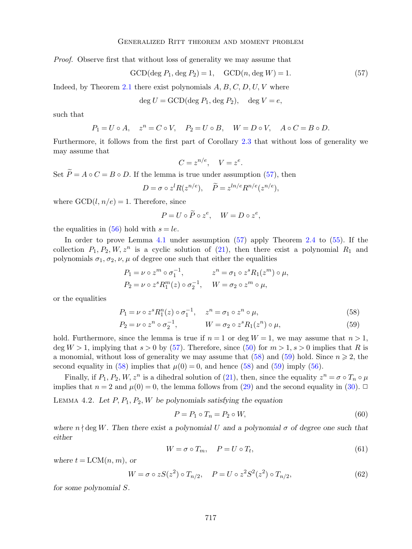#### Generalized Ritt theorem and moment problem

Proof. Observe first that without loss of generality we may assume that

<span id="page-13-1"></span>
$$
\text{GCD}(\text{deg } P_1, \text{deg } P_2) = 1, \quad \text{GCD}(n, \text{deg } W) = 1. \tag{57}
$$

<span id="page-13-3"></span><span id="page-13-2"></span>.

Indeed, by Theorem [2.1](#page-6-0) there exist polynomials  $A, B, C, D, U, V$  where

$$
\deg U = \text{GCD}(\deg P_1, \deg P_2), \quad \deg V = e,
$$

such that

$$
P_1 = U \circ A, \quad z^n = C \circ V, \quad P_2 = U \circ B, \quad W = D \circ V, \quad A \circ C = B \circ D.
$$

Furthermore, it follows from the first part of Corollary [2.3](#page-7-0) that without loss of generality we may assume that

$$
C = z^{n/e}, \quad V = z^e
$$

Set  $\widetilde{P} = A \circ C = B \circ D$ . If the lemma is true under assumption [\(57\)](#page-13-1), then

$$
D = \sigma \circ z^l R(z^{n/e}), \quad \widetilde{P} = z^{ln/e} R^{n/e}(z^{n/e}),
$$

where  $\text{GCD}(l, n/e) = 1$ . Therefore, since

$$
P = U \circ \widetilde{P} \circ z^e, \quad W = D \circ z^e,
$$

the equalities in  $(56)$  hold with  $s = le$ .

In order to prove Lemma [4.1](#page-12-4) under assumption [\(57\)](#page-13-1) apply Theorem [2.4](#page-8-0) to [\(55\)](#page-12-6). If the collection  $P_1, P_2, W, z^n$  is a cyclic solution of [\(21\)](#page-6-2), then there exist a polynomial  $R_1$  and polynomials  $\sigma_1$ ,  $\sigma_2$ ,  $\nu$ ,  $\mu$  of degree one such that either the equalities

$$
P_1 = \nu \circ z^m \circ \sigma_1^{-1}, \qquad z^n = \sigma_1 \circ z^s R_1(z^m) \circ \mu,
$$
  
\n
$$
P_2 = \nu \circ z^s R_1^m(z) \circ \sigma_2^{-1}, \qquad W = \sigma_2 \circ z^m \circ \mu,
$$

or the equalities

$$
P_1 = \nu \circ z^s R_1^n(z) \circ \sigma_1^{-1}, \quad z^n = \sigma_1 \circ z^n \circ \mu,\tag{58}
$$

$$
P_2 = \nu \circ z^n \circ \sigma_2^{-1}, \qquad W = \sigma_2 \circ z^s R_1(z^n) \circ \mu,
$$
\n
$$
(59)
$$

hold. Furthermore, since the lemma is true if  $n = 1$  or deg  $W = 1$ , we may assume that  $n > 1$ , deg  $W > 1$ , implying that  $s > 0$  by [\(57\)](#page-13-1). Therefore, since [\(50\)](#page-12-7) for  $m > 1$ ,  $s > 0$  implies that R is a monomial, without loss of generality we may assume that [\(58\)](#page-13-2) and [\(59\)](#page-13-3) hold. Since  $n \geq 2$ , the second equality in [\(58\)](#page-13-2) implies that  $\mu(0) = 0$ , and hence (58) and [\(59\)](#page-13-3) imply [\(56\)](#page-12-5).

Finally, if  $P_1, P_2, W, z^n$  is a dihedral solution of [\(21\)](#page-6-2), then, since the equality  $z^n = \sigma \circ T_n \circ \mu$ implies that  $n = 2$  and  $\mu(0) = 0$ , the lemma follows from [\(29\)](#page-8-5) and the second equality in [\(30\)](#page-8-6).  $\Box$ 

<span id="page-13-0"></span>LEMMA 4.2. Let  $P$ ,  $P_1$ ,  $P_2$ ,  $W$  be polynomials satisfying the equation

<span id="page-13-4"></span>
$$
P = P_1 \circ T_n = P_2 \circ W,\tag{60}
$$

where  $n \nmid \text{deg } W$ . Then there exist a polynomial U and a polynomial  $\sigma$  of degree one such that either

$$
W = \sigma \circ T_m, \quad P = U \circ T_t,\tag{61}
$$

where  $t = LCM(n, m)$ , or

$$
W = \sigma \circ zS(z^2) \circ T_{n/2}, \quad P = U \circ z^2 S^2(z^2) \circ T_{n/2}, \tag{62}
$$

for some polynomial S.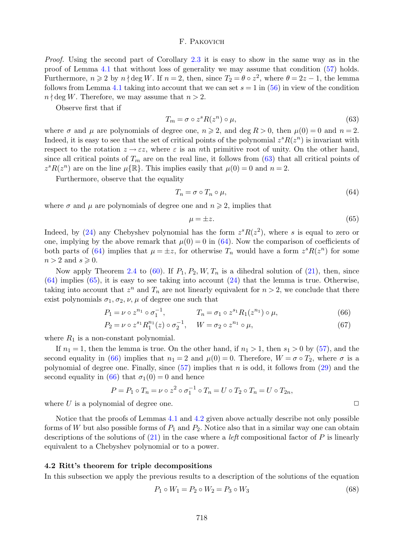Proof. Using the second part of Corollary [2.3](#page-7-0) it is easy to show in the same way as in the proof of Lemma [4.1](#page-12-4) that without loss of generality we may assume that condition [\(57\)](#page-13-1) holds. Furthermore,  $n \geqslant 2$  by  $n \nmid \text{deg } W$ . If  $n = 2$ , then, since  $T_2 = \theta \circ z^2$ , where  $\theta = 2z - 1$ , the lemma follows from Lemma [4.1](#page-12-4) taking into account that we can set  $s = 1$  in [\(56\)](#page-12-5) in view of the condition  $n \nmid \text{deg } W$ . Therefore, we may assume that  $n > 2$ .

Observe first that if

<span id="page-14-1"></span>
$$
T_m = \sigma \circ z^s R(z^n) \circ \mu,\tag{63}
$$

where  $\sigma$  and  $\mu$  are polynomials of degree one,  $n \geqslant 2$ , and deg  $R > 0$ , then  $\mu(0) = 0$  and  $n = 2$ . Indeed, it is easy to see that the set of critical points of the polynomial  $z<sup>s</sup>R(z<sup>n</sup>)$  is invariant with respect to the rotation  $z \to \varepsilon z$ , where  $\varepsilon$  is an nth primitive root of unity. On the other hand, since all critical points of  $T_m$  are on the real line, it follows from [\(63\)](#page-14-1) that all critical points of  $z^{s}R(z^{n})$  are on the line  $\mu\{\mathbb{R}\}$ . This implies easily that  $\mu(0) = 0$  and  $n = 2$ .

Furthermore, observe that the equality

<span id="page-14-2"></span>
$$
T_n = \sigma \circ T_n \circ \mu,\tag{64}
$$

where  $\sigma$  and  $\mu$  are polynomials of degree one and  $n \geq 2$ , implies that

<span id="page-14-4"></span><span id="page-14-3"></span>
$$
\mu = \pm z. \tag{65}
$$

Indeed, by [\(24\)](#page-7-2) any Chebyshev polynomial has the form  $z^{s}R(z^{2})$ , where s is equal to zero or one, implying by the above remark that  $\mu(0) = 0$  in [\(64\)](#page-14-2). Now the comparison of coefficients of both parts of [\(64\)](#page-14-2) implies that  $\mu = \pm z$ , for otherwise  $T_n$  would have a form  $z^s R(z^n)$  for some  $n > 2$  and  $s \geqslant 0$ .

Now apply Theorem [2.4](#page-8-0) to [\(60\)](#page-13-4). If  $P_1$ ,  $P_2$ ,  $W$ ,  $T_n$  is a dihedral solution of [\(21\)](#page-6-2), then, since  $(64)$  implies  $(65)$ , it is easy to see taking into account  $(24)$  that the lemma is true. Otherwise, taking into account that  $z^n$  and  $T_n$  are not linearly equivalent for  $n > 2$ , we conclude that there exist polynomials  $\sigma_1$ ,  $\sigma_2$ ,  $\nu$ ,  $\mu$  of degree one such that

$$
P_1 = \nu \circ z^{n_1} \circ \sigma_1^{-1}, \qquad T_n = \sigma_1 \circ z^{s_1} R_1(z^{n_1}) \circ \mu, \tag{66}
$$

$$
P_2 = \nu \circ z^{s_1} R_1^{n_1}(z) \circ \sigma_2^{-1}, \quad W = \sigma_2 \circ z^{n_1} \circ \mu,\tag{67}
$$

where  $R_1$  is a non-constant polynomial.

If  $n_1 = 1$ , then the lemma is true. On the other hand, if  $n_1 > 1$ , then  $s_1 > 0$  by [\(57\)](#page-13-1), and the second equality in [\(66\)](#page-14-4) implies that  $n_1 = 2$  and  $\mu(0) = 0$ . Therefore,  $W = \sigma \circ T_2$ , where  $\sigma$  is a polynomial of degree one. Finally, since  $(57)$  implies that n is odd, it follows from  $(29)$  and the second equality in [\(66\)](#page-14-4) that  $\sigma_1(0) = 0$  and hence

$$
P = P_1 \circ T_n = \nu \circ z^2 \circ \sigma_1^{-1} \circ T_n = U \circ T_2 \circ T_n = U \circ T_{2n},
$$
  
min of degree one

where  $U$  is a polynomial of degree one.

Notice that the proofs of Lemmas [4.1](#page-12-4) and [4.2](#page-13-0) given above actually describe not only possible forms of W but also possible forms of  $P_1$  and  $P_2$ . Notice also that in a similar way one can obtain descriptions of the solutions of  $(21)$  in the case where a *left* compositional factor of P is linearly equivalent to a Chebyshev polynomial or to a power.

#### <span id="page-14-0"></span>4.2 Ritt's theorem for triple decompositions

In this subsection we apply the previous results to a description of the solutions of the equation

<span id="page-14-5"></span>
$$
P_1 \circ W_1 = P_2 \circ W_2 = P_3 \circ W_3 \tag{68}
$$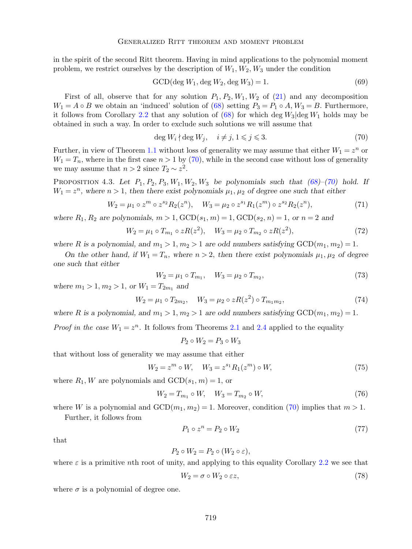in the spirit of the second Ritt theorem. Having in mind applications to the polynomial moment problem, we restrict ourselves by the description of  $W_1, W_2, W_3$  under the condition

<span id="page-15-4"></span>
$$
GCD(\deg W_1, \deg W_2, \deg W_3) = 1.
$$
\n<sup>(69)</sup>

First of all, observe that for any solution  $P_1$ ,  $P_2$ ,  $W_1$ ,  $W_2$  of [\(21\)](#page-6-2) and any decomposition  $W_1 = A \circ B$  we obtain an 'induced' solution of [\(68\)](#page-14-5) setting  $P_3 = P_1 \circ A$ ,  $W_3 = B$ . Furthermore, it follows from Corollary [2.2](#page-7-1) that any solution of [\(68\)](#page-14-5) for which deg  $W_3$  deg  $W_1$  holds may be obtained in such a way. In order to exclude such solutions we will assume that

<span id="page-15-0"></span>
$$
\deg W_i \nmid \deg W_j, \quad i \neq j, 1 \leq j \leq 3. \tag{70}
$$

Further, in view of Theorem [1.1](#page-4-3) without loss of generality we may assume that either  $W_1 = z^n$  or  $W_1 = T_n$ , where in the first case  $n > 1$  by [\(70\)](#page-15-0), while in the second case without loss of generality we may assume that  $n > 2$  since  $T_2 \sim z^2$ .

<span id="page-15-9"></span>PROPOSITION 4.3. Let  $P_1$ ,  $P_2$ ,  $P_3$ ,  $W_1$ ,  $W_2$ ,  $W_3$  be polynomials such that [\(68\)](#page-14-5)–[\(70\)](#page-15-0) hold. If  $W_1 = z^n$ , where  $n > 1$ , then there exist polynomials  $\mu_1, \mu_2$  of degree one such that either

<span id="page-15-3"></span>
$$
W_2 = \mu_1 \circ z^m \circ z^{s_2} R_2(z^n), \quad W_3 = \mu_2 \circ z^{s_1} R_1(z^m) \circ z^{s_2} R_2(z^n), \tag{71}
$$

where  $R_1, R_2$  are polynomials,  $m > 1$ ,  $GCD(s_1, m) = 1$ ,  $GCD(s_2, n) = 1$ , or  $n = 2$  and

<span id="page-15-6"></span>
$$
W_2 = \mu_1 \circ T_{m_1} \circ zR(z^2), \quad W_3 = \mu_2 \circ T_{m_2} \circ zR(z^2), \tag{72}
$$

where R is a polynomial, and  $m_1 > 1$ ,  $m_2 > 1$  are odd numbers satisfying  $GCD(m_1, m_2) = 1$ .

On the other hand, if  $W_1 = T_n$ , where  $n > 2$ , then there exist polynomials  $\mu_1, \mu_2$  of degree one such that either

<span id="page-15-7"></span>
$$
W_2 = \mu_1 \circ T_{m_1}, \quad W_3 = \mu_2 \circ T_{m_2}, \tag{73}
$$

where  $m_1 > 1, m_2 > 1$ , or  $W_1 = T_{2m_1}$  and

<span id="page-15-8"></span>
$$
W_2 = \mu_1 \circ T_{2m_2}, \quad W_3 = \mu_2 \circ zR(z^2) \circ T_{m_1m_2}, \tag{74}
$$

where R is a polynomial, and  $m_1 > 1$ ,  $m_2 > 1$  are odd numbers satisfying  $GCD(m_1, m_2) = 1$ .

*Proof in the case*  $W_1 = z^n$ . It follows from Theorems [2.1](#page-6-0) and [2.4](#page-8-0) applied to the equality

$$
P_2 \circ W_2 = P_3 \circ W_3
$$

that without loss of generality we may assume that either

<span id="page-15-1"></span>
$$
W_2 = z^m \circ W, \quad W_3 = z^{s_1} R_1(z^m) \circ W,\tag{75}
$$

where  $R_1$ , W are polynomials and  $GCD(s_1, m) = 1$ , or

<span id="page-15-5"></span>
$$
W_2 = T_{m_1} \circ W, \quad W_3 = T_{m_2} \circ W,\tag{76}
$$

where W is a polynomial and  $GCD(m_1, m_2) = 1$ . Moreover, condition [\(70\)](#page-15-0) implies that  $m > 1$ . Further, it follows from

$$
P_1 \circ z^n = P_2 \circ W_2 \tag{77}
$$

that

$$
P_2 \circ W_2 = P_2 \circ (W_2 \circ \varepsilon),
$$

where  $\varepsilon$  is a primitive nth root of unity, and applying to this equality Corollary [2.2](#page-7-1) we see that

<span id="page-15-2"></span>
$$
W_2 = \sigma \circ W_2 \circ \varepsilon z,\tag{78}
$$

where  $\sigma$  is a polynomial of degree one.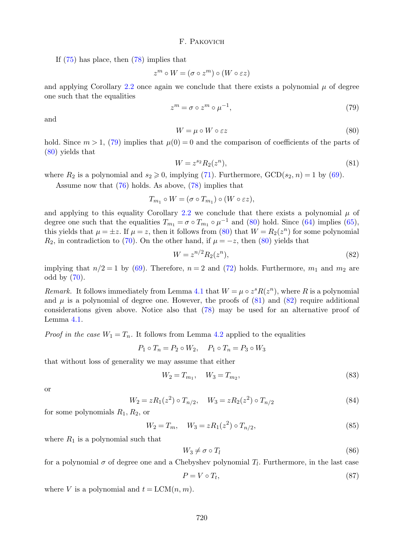If [\(75\)](#page-15-1) has place, then [\(78\)](#page-15-2) implies that

$$
z^m \circ W = (\sigma \circ z^m) \circ (W \circ \varepsilon z)
$$

and applying Corollary [2.2](#page-7-1) once again we conclude that there exists a polynomial  $\mu$  of degree one such that the equalities

<span id="page-16-0"></span>
$$
z^m = \sigma \circ z^m \circ \mu^{-1},\tag{79}
$$

and

<span id="page-16-1"></span>
$$
W = \mu \circ W \circ \varepsilon z \tag{80}
$$

hold. Since  $m > 1$ , [\(79\)](#page-16-0) implies that  $\mu(0) = 0$  and the comparison of coefficients of the parts of [\(80\)](#page-16-1) yields that

<span id="page-16-2"></span>
$$
W = z^{s_2} R_2(z^n),\tag{81}
$$

where  $R_2$  is a polynomial and  $s_2 \geq 0$ , implying [\(71\)](#page-15-3). Furthermore,  $GCD(s_2, n) = 1$  by [\(69\)](#page-15-4).

Assume now that [\(76\)](#page-15-5) holds. As above, [\(78\)](#page-15-2) implies that

$$
T_{m_1} \circ W = (\sigma \circ T_{m_1}) \circ (W \circ \varepsilon z),
$$

and applying to this equality Corollary [2.2](#page-7-1) we conclude that there exists a polynomial  $\mu$  of degree one such that the equalities  $T_{m_1} = \sigma \circ T_{m_1} \circ \mu^{-1}$  and [\(80\)](#page-16-1) hold. Since [\(64\)](#page-14-2) implies [\(65\)](#page-14-3), this yields that  $\mu = \pm z$ . If  $\mu = z$ , then it follows from [\(80\)](#page-16-1) that  $W = R_2(z^n)$  for some polynomial  $R_2$ , in contradiction to [\(70\)](#page-15-0). On the other hand, if  $\mu = -z$ , then [\(80\)](#page-16-1) yields that

<span id="page-16-3"></span>
$$
W = z^{n/2} R_2(z^n),\tag{82}
$$

implying that  $n/2 = 1$  by [\(69\)](#page-15-4). Therefore,  $n = 2$  and [\(72\)](#page-15-6) holds. Furthermore,  $m_1$  and  $m_2$  are odd by [\(70\)](#page-15-0).

Remark. It follows immediately from Lemma [4.1](#page-12-4) that  $W = \mu \circ z^s R(z^n)$ , where R is a polynomial and  $\mu$  is a polynomial of degree one. However, the proofs of  $(81)$  and  $(82)$  require additional considerations given above. Notice also that [\(78\)](#page-15-2) may be used for an alternative proof of Lemma [4.1.](#page-12-4)

*Proof in the case*  $W_1 = T_n$ . It follows from Lemma [4.2](#page-13-0) applied to the equalities

$$
P_1 \circ T_n = P_2 \circ W_2, \quad P_1 \circ T_n = P_3 \circ W_3
$$

that without loss of generality we may assume that either

<span id="page-16-4"></span>
$$
W_2 = T_{m_1}, \quad W_3 = T_{m_2}, \tag{83}
$$

or

<span id="page-16-5"></span>
$$
W_2 = zR_1(z^2) \circ T_{n/2}, \quad W_3 = zR_2(z^2) \circ T_{n/2}
$$
\n(84)

for some polynomials  $R_1, R_2$ , or

<span id="page-16-6"></span>
$$
W_2 = T_m, \quad W_3 = zR_1(z^2) \circ T_{n/2}, \tag{85}
$$

where  $R_1$  is a polynomial such that

<span id="page-16-7"></span>
$$
W_3 \neq \sigma \circ T_l \tag{86}
$$

for a polynomial  $\sigma$  of degree one and a Chebyshev polynomial  $T_l$ . Furthermore, in the last case

<span id="page-16-8"></span>
$$
P = V \circ T_t,\tag{87}
$$

where V is a polynomial and  $t = LCM(n, m)$ .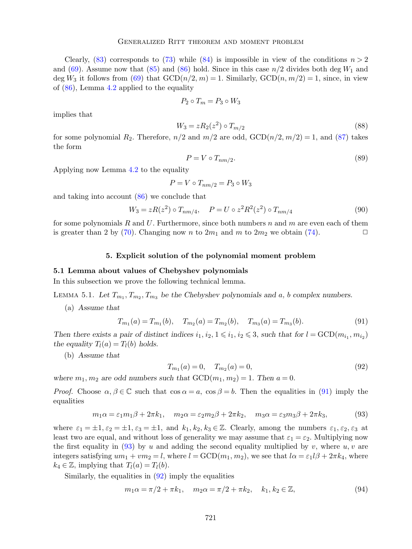Clearly, [\(83\)](#page-16-4) corresponds to [\(73\)](#page-15-7) while [\(84\)](#page-16-5) is impossible in view of the conditions  $n > 2$ and [\(69\)](#page-15-4). Assume now that [\(85\)](#page-16-6) and [\(86\)](#page-16-7) hold. Since in this case  $n/2$  divides both deg  $W_1$  and deg  $W_3$  it follows from [\(69\)](#page-15-4) that  $GCD(n/2, m) = 1$ . Similarly,  $GCD(n, m/2) = 1$ , since, in view of  $(86)$ , Lemma [4.2](#page-13-0) applied to the equality

$$
P_2 \circ T_m = P_3 \circ W_3
$$

implies that

$$
W_3 = zR_2(z^2) \circ T_{m/2}
$$
\n(88)

for some polynomial  $R_2$ . Therefore,  $n/2$  and  $m/2$  are odd,  $GCD(n/2, m/2) = 1$ , and [\(87\)](#page-16-8) takes the form

$$
P = V \circ T_{nm/2}.\tag{89}
$$

Applying now Lemma [4.2](#page-13-0) to the equality

$$
P = V \circ T_{nm/2} = P_3 \circ W_3
$$

and taking into account [\(86\)](#page-16-7) we conclude that

<span id="page-17-4"></span>
$$
W_3 = zR(z^2) \circ T_{nm/4}, \quad P = U \circ z^2 R^2(z^2) \circ T_{nm/4}
$$
\n(90)

for some polynomials R and U. Furthermore, since both numbers n and m are even each of them is greater than 2 by [\(70\)](#page-15-0). Changing now n to  $2m_1$  and m to  $2m_2$  we obtain [\(74\)](#page-15-8).

#### 5. Explicit solution of the polynomial moment problem

#### 5.1 Lemma about values of Chebyshev polynomials

In this subsection we prove the following technical lemma.

<span id="page-17-3"></span>LEMMA 5.1. Let  $T_{m_1}, T_{m_2}, T_{m_3}$  be the Chebyshev polynomials and a, b complex numbers.

(a) Assume that

<span id="page-17-0"></span>
$$
T_{m_1}(a) = T_{m_1}(b), \quad T_{m_2}(a) = T_{m_2}(b), \quad T_{m_3}(a) = T_{m_3}(b). \tag{91}
$$

Then there exists a pair of distinct indices  $i_1, i_2, 1 \leq i_1, i_2 \leq 3$ , such that for  $l = \text{GCD}(m_{i_1}, m_{i_2})$ the equality  $T_l(a) = T_l(b)$  holds.

(b) Assume that

<span id="page-17-2"></span>
$$
T_{m_1}(a) = 0, \quad T_{m_2}(a) = 0,\tag{92}
$$

where  $m_1, m_2$  are odd numbers such that  $GCD(m_1, m_2) = 1$ . Then  $a = 0$ .

*Proof.* Choose  $\alpha, \beta \in \mathbb{C}$  such that  $\cos \alpha = a$ ,  $\cos \beta = b$ . Then the equalities in [\(91\)](#page-17-0) imply the equalities

<span id="page-17-1"></span>
$$
m_1\alpha = \varepsilon_1 m_1\beta + 2\pi k_1, \quad m_2\alpha = \varepsilon_2 m_2\beta + 2\pi k_2, \quad m_3\alpha = \varepsilon_3 m_3\beta + 2\pi k_3,\tag{93}
$$

where  $\varepsilon_1 = \pm 1, \varepsilon_2 = \pm 1, \varepsilon_3 = \pm 1$ , and  $k_1, k_2, k_3 \in \mathbb{Z}$ . Clearly, among the numbers  $\varepsilon_1, \varepsilon_2, \varepsilon_3$  at least two are equal, and without loss of generality we may assume that  $\varepsilon_1 = \varepsilon_2$ . Multiplying now the first equality in  $(93)$  by u and adding the second equality multiplied by v, where u, v are integers satisfying  $um_1 + v m_2 = l$ , where  $l = \text{GCD}(m_1, m_2)$ , we see that  $l\alpha = \varepsilon_1 l\beta + 2\pi k_4$ , where  $k_4 \in \mathbb{Z}$ , implying that  $T_l(a) = T_l(b)$ .

Similarly, the equalities in [\(92\)](#page-17-2) imply the equalities

$$
m_1 \alpha = \pi/2 + \pi k_1, \quad m_2 \alpha = \pi/2 + \pi k_2, \quad k_1, k_2 \in \mathbb{Z},
$$
\n(94)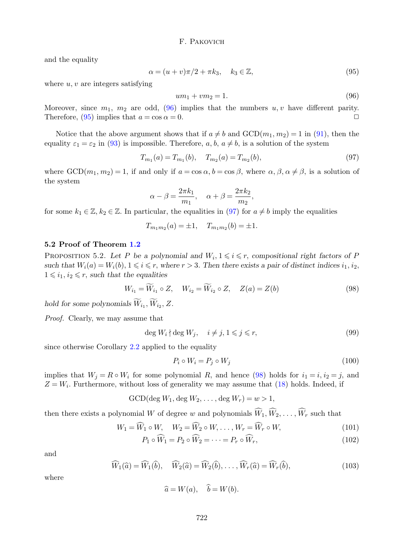and the equality

<span id="page-18-1"></span>
$$
\alpha = (u+v)\pi/2 + \pi k_3, \quad k_3 \in \mathbb{Z},\tag{95}
$$

where  $u, v$  are integers satisfying

<span id="page-18-0"></span>
$$
um_1 + v m_2 = 1. \t\t(96)
$$

Moreover, since  $m_1$ ,  $m_2$  are odd, [\(96\)](#page-18-0) implies that the numbers  $u, v$  have different parity. Therefore, [\(95\)](#page-18-1) implies that  $a = \cos \alpha = 0$ .

Notice that the above argument shows that if  $a \neq b$  and  $GCD(m_1, m_2) = 1$  in [\(91\)](#page-17-0), then the equality  $\varepsilon_1 = \varepsilon_2$  in [\(93\)](#page-17-1) is impossible. Therefore, a, b,  $a \neq b$ , is a solution of the system

<span id="page-18-2"></span>
$$
T_{m_1}(a) = T_{m_1}(b), \quad T_{m_2}(a) = T_{m_2}(b), \tag{97}
$$

where  $GCD(m_1, m_2) = 1$ , if and only if  $a = \cos \alpha$ ,  $b = \cos \beta$ , where  $\alpha$ ,  $\beta$ ,  $\alpha \neq \beta$ , is a solution of the system

$$
\alpha - \beta = \frac{2\pi k_1}{m_1}, \quad \alpha + \beta = \frac{2\pi k_2}{m_2},
$$

for some  $k_1 \in \mathbb{Z}, k_2 \in \mathbb{Z}$ . In particular, the equalities in [\(97\)](#page-18-2) for  $a \neq b$  imply the equalities

$$
T_{m_1m_2}(a) = \pm 1, \quad T_{m_1m_2}(b) = \pm 1.
$$

# 5.2 Proof of Theorem [1.2](#page-5-0)

<span id="page-18-7"></span>PROPOSITION 5.2. Let P be a polynomial and  $W_i, 1 \leq i \leq r$ , compositional right factors of P such that  $W_i(a) = W_i(b), 1 \leq i \leq r$ , where  $r > 3$ . Then there exists a pair of distinct indices  $i_1, i_2$ ,  $1 \leq i_1, i_2 \leq r$ , such that the equalities

<span id="page-18-3"></span>
$$
W_{i_1} = \widetilde{W}_{i_1} \circ Z, \quad W_{i_2} = \widetilde{W}_{i_2} \circ Z, \quad Z(a) = Z(b)
$$
\n
$$
(98)
$$

hold for some polynomials  $W_{i_1}, W_{i_2}, Z$ .

Proof. Clearly, we may assume that

$$
\deg W_i \nmid \deg W_j, \quad i \neq j, 1 \leq j \leq r,\tag{99}
$$

since otherwise Corollary [2.2](#page-7-1) applied to the equality

<span id="page-18-5"></span><span id="page-18-4"></span>
$$
P_i \circ W_i = P_j \circ W_j \tag{100}
$$

implies that  $W_j = R \circ W_i$  for some polynomial R, and hence [\(98\)](#page-18-3) holds for  $i_1 = i$ ,  $i_2 = j$ , and  $Z = W_i$ . Furthermore, without loss of generality we may assume that [\(18\)](#page-4-1) holds. Indeed, if

GCD(deg  $W_1$ , deg  $W_2, \ldots$ , deg  $W_r$ ) =  $w > 1$ ,

then there exists a polynomial W of degree w and polynomials  $\widehat{W}_1, \widehat{W}_2, \ldots, \widehat{W}_r$  such that

$$
W_1 = \widehat{W}_1 \circ W, \quad W_2 = \widehat{W}_2 \circ W, \dots, W_r = \widehat{W}_r \circ W,\tag{101}
$$

$$
P_1 \circ \widehat{W}_1 = P_2 \circ \widehat{W}_2 = \dots = P_r \circ \widehat{W}_r,\tag{102}
$$

and

<span id="page-18-6"></span>
$$
\widehat{W}_1(\widehat{a}) = \widehat{W}_1(\widehat{b}), \quad \widehat{W}_2(\widehat{a}) = \widehat{W}_2(\widehat{b}), \dots, \widehat{W}_r(\widehat{a}) = \widehat{W}_r(\widehat{b}), \tag{103}
$$

where

$$
\widehat{a} = W(a), \quad \widehat{b} = W(b).
$$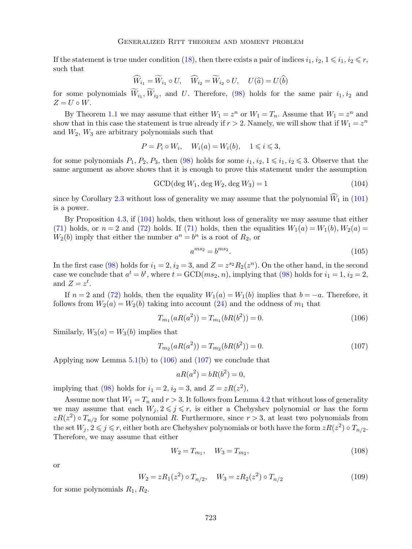If the statement is true under condition [\(18\)](#page-4-1), then there exists a pair of indices  $i_1, i_2, 1 \leq i_1, i_2 \leq r$ , such that

$$
\widehat{W}_{i_1} = \widetilde{W}_{i_1} \circ U, \quad \widehat{W}_{i_2} = \widetilde{W}_{i_2} \circ U, \quad U(\widehat{a}) = U(\widehat{b})
$$

for some polynomials  $W_{i_1}, W_{i_2}$ , and U. Therefore, [\(98\)](#page-18-3) holds for the same pair  $i_1, i_2$  and  $Z = U \circ W$ .

By Theorem [1.1](#page-4-3) we may assume that either  $W_1 = z^n$  or  $W_1 = T_n$ . Assume that  $W_1 = z^n$  and show that in this case the statement is true already if  $r > 2$ . Namely, we will show that if  $W_1 = z^n$ and  $W_2$ ,  $W_3$  are arbitrary polynomials such that

$$
P = P_i \circ W_i, \quad W_i(a) = W_i(b), \quad 1 \leq i \leq 3,
$$

for some polynomials  $P_1$ ,  $P_2$ ,  $P_3$ , then [\(98\)](#page-18-3) holds for some  $i_1, i_2, 1 \leq i_1, i_2 \leq 3$ . Observe that the same argument as above shows that it is enough to prove this statement under the assumption

<span id="page-19-0"></span>GCD(deg  $W_1$ , deg  $W_2$ , deg  $W_3$ ) = 1 (104)

since by Corollary [2.3](#page-7-0) without loss of generality we may assume that the polynomial  $\widehat{W}_1$  in [\(101\)](#page-18-4) is a power.

By Proposition [4.3,](#page-15-9) if [\(104\)](#page-19-0) holds, then without loss of generality we may assume that either [\(71\)](#page-15-3) holds, or  $n = 2$  and [\(72\)](#page-15-6) holds. If (71) holds, then the equalities  $W_1(a) = W_1(b), W_2(a) =$  $W_2(b)$  imply that either the number  $a^n = b^n$  is a root of  $R_2$ , or

$$
a^{ms_2} = b^{ms_2}.\tag{105}
$$

In the first case [\(98\)](#page-18-3) holds for  $i_1 = 2$ ,  $i_2 = 3$ , and  $Z = z^{s_2} R_2(z^n)$ . On the other hand, in the second case we conclude that  $a^t = b^t$ , where  $t = \text{GCD}(ms_2, n)$ , implying that [\(98\)](#page-18-3) holds for  $i_1 = 1$ ,  $i_2 = 2$ , and  $Z = z^t$ .

If  $n = 2$  and [\(72\)](#page-15-6) holds, then the equality  $W_1(a) = W_1(b)$  implies that  $b = -a$ . Therefore, it follows from  $W_2(a) = W_2(b)$  taking into account [\(24\)](#page-7-2) and the oddness of  $m_1$  that

<span id="page-19-1"></span>
$$
T_{m_1}(aR(a^2)) = T_{m_1}(bR(b^2)) = 0.
$$
\n(106)

Similarly,  $W_3(a) = W_3(b)$  implies that

<span id="page-19-2"></span>
$$
T_{m_2}(aR(a^2)) = T_{m_2}(bR(b^2)) = 0.
$$
\n(107)

Applying now Lemma  $5.1(b)$  $5.1(b)$  to  $(106)$  and  $(107)$  we conclude that

$$
aR(a^2) = bR(b^2) = 0,
$$

implying that [\(98\)](#page-18-3) holds for  $i_1 = 2$ ,  $i_2 = 3$ , and  $Z = zR(z^2)$ ,

Assume now that  $W_1 = T_n$  and  $r > 3$ . It follows from Lemma [4.2](#page-13-0) that without loss of generality we may assume that each  $W_i, 2 \leq j \leq r$ , is either a Chebyshev polynomial or has the form  $zR(z^2) \circ T_{n/2}$  for some polynomial R. Furthermore, since  $r > 3$ , at least two polynomials from the set  $W_j, 2 \leqslant j \leqslant r$ , either both are Chebyshev polynomials or both have the form  $zR(z^2) \circ T_{n/2}$ . Therefore, we may assume that either

<span id="page-19-3"></span>
$$
W_2 = T_{m_1}, \quad W_3 = T_{m_2}, \tag{108}
$$

or

<span id="page-19-4"></span>
$$
W_2 = zR_1(z^2) \circ T_{n/2}, \quad W_3 = zR_2(z^2) \circ T_{n/2}
$$
\n(109)

for some polynomials  $R_1, R_2$ .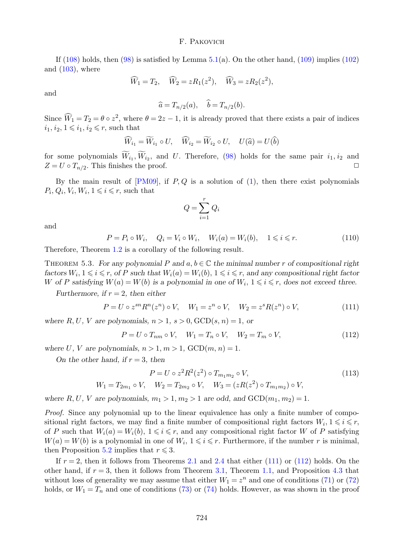If  $(108)$  holds, then  $(98)$  is satisfied by Lemma [5.1\(](#page-17-3)a). On the other hand,  $(109)$  implies  $(102)$ and  $(103)$ , where

$$
\widehat{W}_1 = T_2, \quad \widehat{W}_2 = zR_1(z^2), \quad \widehat{W}_3 = zR_2(z^2),
$$

and

$$
\widehat{a} = T_{n/2}(a), \quad \widehat{b} = T_{n/2}(b).
$$

Since  $\widehat{W}_1 = T_2 = \theta \circ z^2$ , where  $\theta = 2z - 1$ , it is already proved that there exists a pair of indices  $i_1, i_2, 1 \leq i_1, i_2 \leq r$ , such that

$$
\widehat{W}_{i_1} = \widetilde{W}_{i_1} \circ U, \quad \widehat{W}_{i_2} = \widetilde{W}_{i_2} \circ U, \quad U(\widehat{a}) = U(\widehat{b})
$$

for some polynomials  $W_{i_1}, W_{i_2}$ , and U. Therefore, [\(98\)](#page-18-3) holds for the same pair  $i_1, i_2$  and  $\overline{a}$  $Z = U \circ T_{n/2}$ . This finishes the proof.

By the main result of  $[PM09]$ , if P, Q is a solution of  $(1)$ , then there exist polynomials  $P_i, Q_i, V_i, W_i, 1 \leqslant i \leqslant r$ , such that

$$
Q = \sum_{i=1}^r Q_i
$$

and

$$
P = P_i \circ W_i, \quad Q_i = V_i \circ W_i, \quad W_i(a) = W_i(b), \quad 1 \leq i \leq r. \tag{110}
$$

Therefore, Theorem [1.2](#page-5-0) is a corollary of the following result.

THEOREM 5.3. For any polynomial P and  $a, b \in \mathbb{C}$  the minimal number r of compositional right factors  $W_i, 1 \leq i \leq r$ , of P such that  $W_i(a) = W_i(b), 1 \leq i \leq r$ , and any compositional right factor W of P satisfying  $W(a) = W(b)$  is a polynomial in one of  $W_i$ ,  $1 \leq i \leq r$ , does not exceed three.

Furthermore, if  $r = 2$ , then either

<span id="page-20-0"></span>
$$
P = U \circ z^{sn} R^n(z^n) \circ V, \quad W_1 = z^n \circ V, \quad W_2 = z^s R(z^n) \circ V,
$$
 (111)

where R, U, V are polynomials,  $n > 1$ ,  $s > 0$ ,  $GCD(s, n) = 1$ , or

<span id="page-20-1"></span>
$$
P = U \circ T_{nm} \circ V, \quad W_1 = T_n \circ V, \quad W_2 = T_m \circ V,\tag{112}
$$

where U, V are polynomials,  $n > 1, m > 1$ ,  $GCD(m, n) = 1$ .

On the other hand, if  $r = 3$ , then

<span id="page-20-3"></span><span id="page-20-2"></span>
$$
P = U \circ z^{2} R^{2}(z^{2}) \circ T_{m_{1}m_{2}} \circ V,
$$
\n
$$
V = V_{m_{1}m_{2}} - V_{m_{1}m_{2}} - (z R(z^{2}) \circ T_{m_{1}}) \circ V
$$
\n(113)

$$
W_1 = T_{2m_1} \circ V, \quad W_2 = T_{2m_2} \circ V, \quad W_3 = (zR(z^2) \circ T_{m_1m_2}) \circ V,
$$

where R, U, V are polynomials,  $m_1 > 1$ ,  $m_2 > 1$  are odd, and  $GCD(m_1, m_2) = 1$ .

Proof. Since any polynomial up to the linear equivalence has only a finite number of compositional right factors, we may find a finite number of compositional right factors  $W_i, 1 \leq i \leq r$ , of P such that  $W_i(a) = W_i(b)$ ,  $1 \leq i \leq r$ , and any compositional right factor W of P satisfying  $W(a) = W(b)$  is a polynomial in one of  $W_i$ ,  $1 \leq i \leq r$ . Furthermore, if the number r is minimal, then Proposition [5.2](#page-18-7) implies that  $r \leq 3$ .

If  $r = 2$ , then it follows from Theorems [2.1](#page-6-0) and [2.4](#page-8-0) that either [\(111\)](#page-20-0) or [\(112\)](#page-20-1) holds. On the other hand, if  $r = 3$ , then it follows from Theorem [3.1,](#page-9-0) Theorem [1.1,](#page-4-3) and Proposition [4.3](#page-15-9) that without loss of generality we may assume that either  $W_1 = z^n$  and one of conditions [\(71\)](#page-15-3) or [\(72\)](#page-15-6) holds, or  $W_1 = T_n$  and one of conditions [\(73\)](#page-15-7) or [\(74\)](#page-15-8) holds. However, as was shown in the proof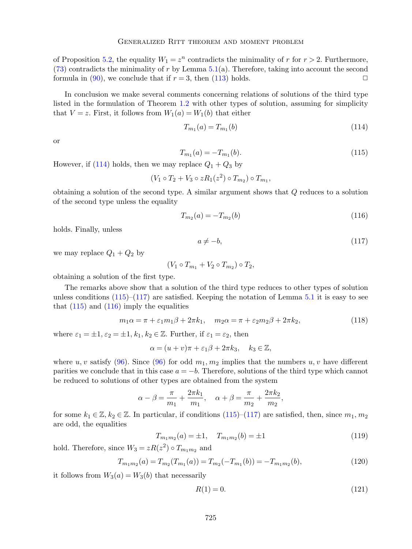of Proposition [5.2,](#page-18-7) the equality  $W_1 = z^n$  contradicts the minimality of r for  $r > 2$ . Furthermore,  $(73)$  contradicts the minimality of r by Lemma [5.1\(](#page-17-3)a). Therefore, taking into account the second formula in [\(90\)](#page-17-4), we conclude that if  $r = 3$ , then [\(113\)](#page-20-2) holds.

In conclusion we make several comments concerning relations of solutions of the third type listed in the formulation of Theorem [1.2](#page-5-0) with other types of solution, assuming for simplicity that  $V = z$ . First, it follows from  $W_1(a) = W_1(b)$  that either

$$
T_{m_1}(a) = T_{m_1}(b) \tag{114}
$$

or

<span id="page-21-0"></span>
$$
T_{m_1}(a) = -T_{m_1}(b). \tag{115}
$$

However, if [\(114\)](#page-20-3) holds, then we may replace  $Q_1 + Q_3$  by

$$
(V_1 \circ T_2 + V_3 \circ zR_1(z^2) \circ T_{m_2}) \circ T_{m_1},
$$

obtaining a solution of the second type. A similar argument shows that Q reduces to a solution of the second type unless the equality

<span id="page-21-2"></span>
$$
T_{m_2}(a) = -T_{m_2}(b) \tag{116}
$$

holds. Finally, unless

<span id="page-21-1"></span> $a \neq -b,$  (117)

we may replace  $Q_1 + Q_2$  by

$$
(V_1 \circ T_{m_1} + V_2 \circ T_{m_2}) \circ T_2,
$$

obtaining a solution of the first type.

The remarks above show that a solution of the third type reduces to other types of solution unless conditions  $(115)$ – $(117)$  are satisfied. Keeping the notation of Lemma [5.1](#page-17-3) it is easy to see that  $(115)$  and  $(116)$  imply the equalities

$$
m_1\alpha = \pi + \varepsilon_1 m_1 \beta + 2\pi k_1, \quad m_2\alpha = \pi + \varepsilon_2 m_2 \beta + 2\pi k_2,\tag{118}
$$

where  $\varepsilon_1 = \pm 1, \varepsilon_2 = \pm 1, k_1, k_2 \in \mathbb{Z}$ . Further, if  $\varepsilon_1 = \varepsilon_2$ , then

$$
\alpha = (u+v)\pi + \varepsilon_1\beta + 2\pi k_3, \quad k_3 \in \mathbb{Z},
$$

where u, v satisfy [\(96\)](#page-18-0). Since (96) for odd  $m_1, m_2$  implies that the numbers u, v have different parities we conclude that in this case  $a = -b$ . Therefore, solutions of the third type which cannot be reduced to solutions of other types are obtained from the system

$$
\alpha - \beta = \frac{\pi}{m_1} + \frac{2\pi k_1}{m_1}, \quad \alpha + \beta = \frac{\pi}{m_2} + \frac{2\pi k_2}{m_2},
$$

for some  $k_1 \in \mathbb{Z}, k_2 \in \mathbb{Z}$ . In particular, if conditions [\(115\)](#page-21-0)–[\(117\)](#page-21-1) are satisfied, then, since  $m_1, m_2$ are odd, the equalities

<span id="page-21-3"></span>
$$
T_{m_1m_2}(a) = \pm 1, \quad T_{m_1m_2}(b) = \pm 1 \tag{119}
$$

hold. Therefore, since  $W_3 = zR(z^2) \circ T_{m_1m_2}$  and

<span id="page-21-4"></span>
$$
T_{m_1m_2}(a) = T_{m_2}(T_{m_1}(a)) = T_{m_2}(-T_{m_1}(b)) = -T_{m_1m_2}(b),
$$
\n(120)

it follows from  $W_3(a) = W_3(b)$  that necessarily

$$
R(1) = 0.\t(121)
$$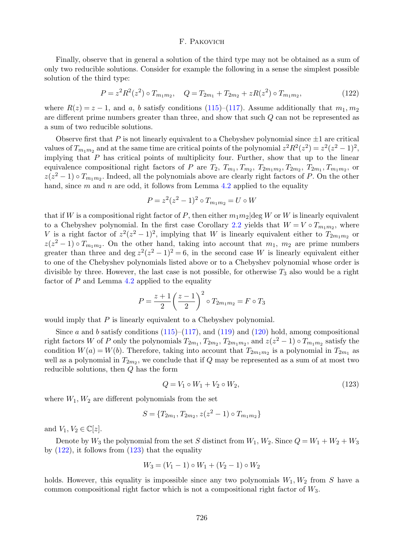Finally, observe that in general a solution of the third type may not be obtained as a sum of only two reducible solutions. Consider for example the following in a sense the simplest possible solution of the third type:

<span id="page-22-0"></span>
$$
P = z2 R2(z2) \circ Tm1m2, \quad Q = T2m1 + T2m2 + zR(z2) \circ Tm1m2,
$$
\n(122)

where  $R(z) = z - 1$ , and a, b satisfy conditions [\(115\)](#page-21-0)–[\(117\)](#page-21-1). Assume additionally that  $m_1, m_2$ are different prime numbers greater than three, and show that such Q can not be represented as a sum of two reducible solutions.

Observe first that P is not linearly equivalent to a Chebyshev polynomial since  $\pm 1$  are critical values of  $T_{m_1m_2}$  and at the same time are critical points of the polynomial  $z^2R^2(z^2) = z^2(z^2 - 1)^2$ , implying that  $P$  has critical points of multiplicity four. Further, show that up to the linear equivalence compositional right factors of P are  $T_2$ ,  $T_{m_1}, T_{m_2}, T_{2m_1m_2}, T_{2m_2}, T_{2m_1}, T_{m_1m_2}$ , or  $z(z^2 - 1) \circ T_{m_1 m_2}$ . Indeed, all the polynomials above are clearly right factors of P. On the other hand, since m and n are odd, it follows from Lemma [4.2](#page-13-0) applied to the equality

$$
P = z^2(z^2 - 1)^2 \circ T_{m_1 m_2} = U \circ W
$$

that if W is a compositional right factor of P, then either  $m_1m_2$  deg W or W is linearly equivalent to a Chebyshev polynomial. In the first case Corollary [2.2](#page-7-1) yields that  $W = V \circ T_{m_1 m_2}$ , where V is a right factor of  $z^2(z^2-1)^2$ , implying that W is linearly equivalent either to  $T_{2m_1m_2}$  or  $z(z^2-1) \circ T_{m_1m_2}$ . On the other hand, taking into account that  $m_1$ ,  $m_2$  are prime numbers greater than three and deg  $z^2(z^2-1)^2=6$ , in the second case W is linearly equivalent either to one of the Chebyshev polynomials listed above or to a Chebyshev polynomial whose order is divisible by three. However, the last case is not possible, for otherwise  $T_3$  also would be a right factor of  $P$  and Lemma [4.2](#page-13-0) applied to the equality

$$
P = \frac{z+1}{2} \left(\frac{z-1}{2}\right)^2 \circ T_{2m_1m_2} = F \circ T_3
$$

would imply that P is linearly equivalent to a Chebyshev polynomial.

Since a and b satisfy conditions  $(115)$ – $(117)$ , and  $(119)$  and  $(120)$  hold, among compositional right factors W of P only the polynomials  $T_{2m_1}, T_{2m_2}, T_{2m_1m_2}$ , and  $z(z^2 - 1) \circ T_{m_1m_2}$  satisfy the condition  $W(a) = W(b)$ . Therefore, taking into account that  $T_{2m_1m_2}$  is a polynomial in  $T_{2m_1}$  as well as a polynomial in  $T_{2m_2}$ , we conclude that if Q may be represented as a sum of at most two reducible solutions, then Q has the form

<span id="page-22-1"></span>
$$
Q = V_1 \circ W_1 + V_2 \circ W_2,\tag{123}
$$

where  $W_1, W_2$  are different polynomials from the set

$$
S = \{T_{2m_1}, T_{2m_2}, z(z^2 - 1) \circ T_{m_1m_2}\}\
$$

and  $V_1, V_2 \in \mathbb{C}[z]$ .

Denote by  $W_3$  the polynomial from the set S distinct from  $W_1, W_2$ . Since  $Q = W_1 + W_2 + W_3$ by  $(122)$ , it follows from  $(123)$  that the equality

$$
W_3 = (V_1 - 1) \circ W_1 + (V_2 - 1) \circ W_2
$$

holds. However, this equality is impossible since any two polynomials  $W_1, W_2$  from S have a common compositional right factor which is not a compositional right factor of W3.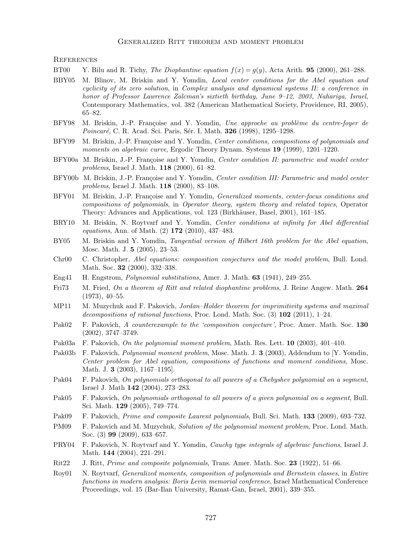#### Generalized Ritt theorem and moment problem

**REFERENCES** 

- <span id="page-23-20"></span>BT00 Y. Bilu and R. Tichy, The Diophantine equation  $f(x) = q(y)$ , Acta Arith. **95** (2000), 261–288.
- <span id="page-23-14"></span>BBY05 M. Blinov, M. Briskin and Y. Yomdin, Local center conditions for the Abel equation and cyclicity of its zero solution, in Complex analysis and dynamical systems II: a conference in honor of Professor Lawrence Zalcman's sixtieth birthday, June 9–12, 2003, Nahariya, Israel, Contemporary Mathematics, vol. 382 (American Mathematical Society, Providence, RI, 2005), 65–82.
- <span id="page-23-0"></span>BFY98 M. Briskin, J.-P. Françoise and Y. Yomdin, Une approche au problème du centre-foyer de Poincaré, C. R. Acad. Sci. Paris, Sér. I, Math. 326 (1998), 1295-1298.
- <span id="page-23-1"></span>BFY99 M. Briskin, J.-P. Françoise and Y. Yomdin, Center conditions, compositions of polynomials and moments on algebraic curve, Ergodic Theory Dynam. Systems 19 (1999), 1201–1220.
- <span id="page-23-2"></span>BFY00a M. Briskin, J.-P. Françoise and Y. Yomdin, Center condition II: parametric and model center problems, Israel J. Math. 118 (2000), 61–82.
- <span id="page-23-3"></span>BFY00b M. Briskin, J.-P. Françoise and Y. Yomdin, Center condition III: Parametric and model center problems, Israel J. Math. 118 (2000), 83–108.
- <span id="page-23-4"></span>BFY01 M. Briskin, J.-P. Françoise and Y. Yomdin, *Generalized moments, center-focus conditions and* compositions of polynomials, in Operator theory, system theory and related topics, Operator Theory: Advances and Applications, vol. 123 (Birkhäuser, Basel, 2001), 161–185.
- <span id="page-23-15"></span>BRY10 M. Briskin, N. Roytvarf and Y. Yomdin, Center conditions at infinity for Abel differential equations, Ann. of Math. (2) 172 (2010), 437–483.
- <span id="page-23-16"></span>BY05 M. Briskin and Y. Yomdin, Tangential version of Hilbert 16th problem for the Abel equation, Mosc. Math. J. 5 (2005), 23–53.
- <span id="page-23-5"></span>Chr00 C. Christopher, Abel equations: composition conjectures and the model problem, Bull. Lond. Math. Soc. 32 (2000), 332–338.
- <span id="page-23-18"></span>Eng41 H. Engstrom, Polynomial substitutions, Amer. J. Math. 63 (1941), 249–255.
- <span id="page-23-21"></span>Fri $73$  M. Fried, On a theorem of Ritt and related diophantine problems, J. Reine Angew. Math. 264 (1973), 40–55.
- <span id="page-23-17"></span>MP11 M. Muzychuk and F. Pakovich, Jordan–Holder theorem for imprimitivity systems and maximal decompositions of rational functions, Proc. Lond. Math. Soc.  $(3)$  102  $(2011)$ , 1–24.
- <span id="page-23-7"></span>Pak02 F. Pakovich, A counterexample to the 'composition conjecture', Proc. Amer. Math. Soc. 130 (2002), 3747–3749.
- <span id="page-23-8"></span>Pak03a F. Pakovich, On the polynomial moment problem, Math. Res. Lett. 10 (2003), 401–410.
- <span id="page-23-6"></span>Pak03b F. Pakovich, *Polynomial moment problem*, Mosc. Math. J. **3** (2003), Addendum to [Y. Yomdin, Center problem for Abel equation, compositions of functions and moment conditions, Mosc. Math. J. 3 (2003), 1167–1195].
- <span id="page-23-9"></span>Pak04 F. Pakovich, On polynomials orthogonal to all powers of a Chebyshev polynomial on a segment, Israel J. Math 142 (2004), 273–283.
- <span id="page-23-10"></span>Pak05 F. Pakovich, On polynomials orthogonal to all powers of a given polynomial on a segment, Bull. Sci. Math. 129 (2005), 749–774.
- <span id="page-23-22"></span>Pak09 F. Pakovich, Prime and composite Laurent polynomials, Bull. Sci. Math. 133 (2009), 693–732.
- <span id="page-23-11"></span>PM09 F. Pakovich and M. Muzychuk, Solution of the polynomial moment problem, Proc. Lond. Math. Soc. (3) 99 (2009), 633–657.
- <span id="page-23-12"></span>PRY04 F. Pakovich, N. Roytvarf and Y. Yomdin, Cauchy type integrals of algebraic functions, Israel J. Math. 144 (2004), 221–291.
- <span id="page-23-19"></span>Rit22 J. Ritt, Prime and composite polynomials, Trans. Amer. Math. Soc. 23 (1922), 51–66.
- <span id="page-23-13"></span>Roy01 N. Roytvarf, Generalized moments, composition of polynomials and Bernstein classes, in Entire functions in modern analysis: Boris Levin memorial conference, Israel Mathematical Conference Proceedings, vol. 15 (Bar-Ilan University, Ramat-Gan, Israel, 2001), 339–355.